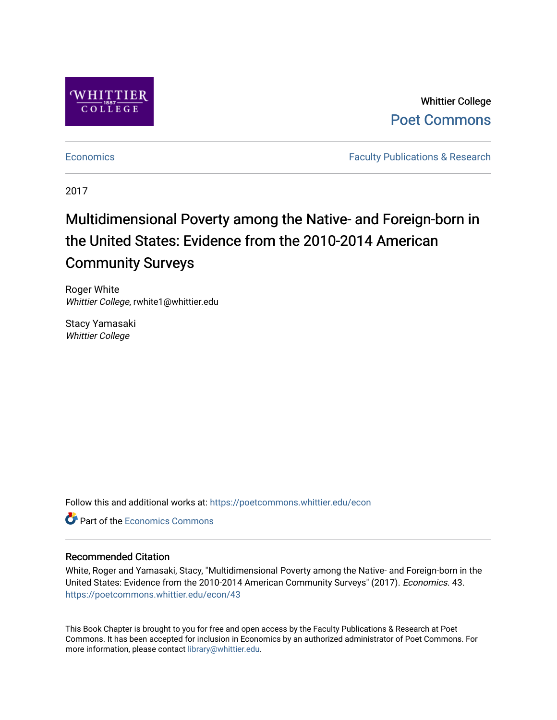

Whittier College [Poet Commons](https://poetcommons.whittier.edu/) 

[Economics](https://poetcommons.whittier.edu/econ) **Faculty Publications & Research** 

2017

# Multidimensional Poverty among the Native- and Foreign-born in the United States: Evidence from the 2010-2014 American Community Surveys

Roger White Whittier College, rwhite1@whittier.edu

Stacy Yamasaki Whittier College

Follow this and additional works at: [https://poetcommons.whittier.edu/econ](https://poetcommons.whittier.edu/econ?utm_source=poetcommons.whittier.edu%2Fecon%2F43&utm_medium=PDF&utm_campaign=PDFCoverPages)

**C** Part of the [Economics Commons](http://network.bepress.com/hgg/discipline/340?utm_source=poetcommons.whittier.edu%2Fecon%2F43&utm_medium=PDF&utm_campaign=PDFCoverPages)

# Recommended Citation

White, Roger and Yamasaki, Stacy, "Multidimensional Poverty among the Native- and Foreign-born in the United States: Evidence from the 2010-2014 American Community Surveys" (2017). Economics. 43. [https://poetcommons.whittier.edu/econ/43](https://poetcommons.whittier.edu/econ/43?utm_source=poetcommons.whittier.edu%2Fecon%2F43&utm_medium=PDF&utm_campaign=PDFCoverPages) 

This Book Chapter is brought to you for free and open access by the Faculty Publications & Research at Poet Commons. It has been accepted for inclusion in Economics by an authorized administrator of Poet Commons. For more information, please contact [library@whittier.edu.](mailto:library@whittier.edu)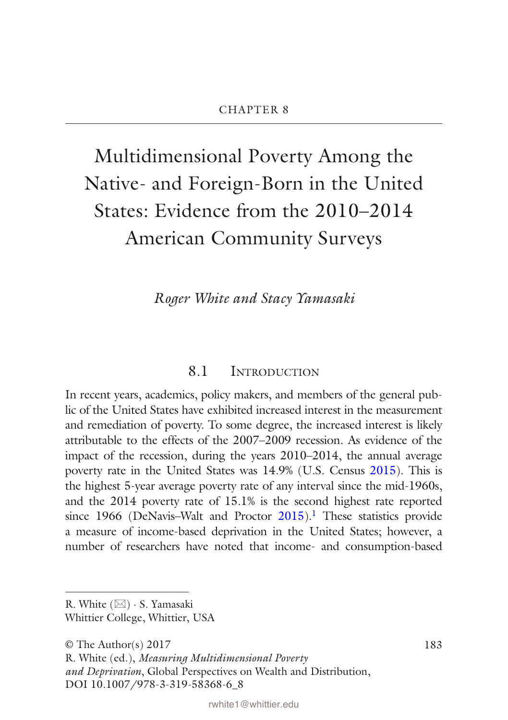# Multidimensional Poverty Among the Native- and Foreign-Born in the United States: Evidence from the 2010–2014 American Community Surveys

*Roger White and Stacy Yamasaki*

### 8.1 INTRODUCTION

In recent years, academics, policy makers, and members of the general public of the United States have exhibited increased interest in the measurement and remediation of poverty. To some degree, the increased interest is likely attributable to the effects of the 2007–2009 recession. As evidence of the impact of the recession, during the years 2010–2014, the annual average poverty rate in the United States was 14.9% (U.S. Census [2015](#page-40-0)). This is the highest 5-year average poverty rate of any interval since the mid-1960s, and the 2014 poverty rate of 15.1% is the second highest rate reported since [1](#page-38-0)966 (DeNavis-Walt and Proctor  $2015$ ).<sup>1</sup> These statistics provide a measure of income-based deprivation in the United States; however, a number of researchers have noted that income- and consumption-based

183

R. White  $(\boxtimes) \cdot$  S. Yamasaki Whittier College, Whittier, USA

<sup>©</sup> The Author(s) 2017

R. White (ed.), *Measuring Multidimensional Poverty and Deprivation*, Global Perspectives on Wealth and Distribution, DOI 10.1007/978-3-319-58368-6\_8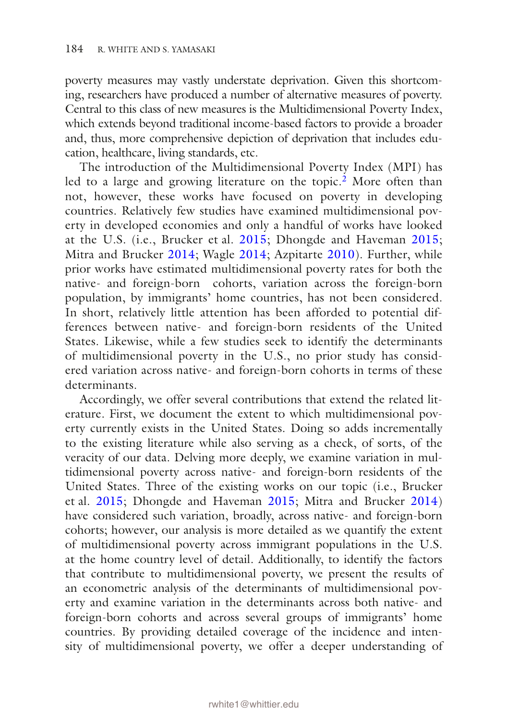poverty measures may vastly understate deprivation. Given this shortcoming, researchers have produced a number of alternative measures of poverty. Central to this class of new measures is the Multidimensional Poverty Index, which extends beyond traditional income-based factors to provide a broader and, thus, more comprehensive depiction of deprivation that includes education, healthcare, living standards, etc.

The introduction of the Multidimensional Poverty Index (MPI) has led to a large and growing literature on the topic.<sup>2</sup> More often than not, however, these works have focused on poverty in developing countries. Relatively few studies have examined multidimensional poverty in developed economies and only a handful of works have looked at the U.S. (i.e., Brucker et al. [2015;](#page-39-1) Dhongde and Haveman [2015;](#page-39-2) Mitra and Brucker [2014](#page-39-3); Wagle [2014](#page-40-1); Azpitarte [2010](#page-39-4)). Further, while prior works have estimated multidimensional poverty rates for both the native- and foreign-born cohorts, variation across the foreign-born population, by immigrants' home countries, has not been considered. In short, relatively little attention has been afforded to potential differences between native- and foreign-born residents of the United States. Likewise, while a few studies seek to identify the determinants of multidimensional poverty in the U.S., no prior study has considered variation across native- and foreign-born cohorts in terms of these determinants.

Accordingly, we offer several contributions that extend the related literature. First, we document the extent to which multidimensional poverty currently exists in the United States. Doing so adds incrementally to the existing literature while also serving as a check, of sorts, of the veracity of our data. Delving more deeply, we examine variation in multidimensional poverty across native- and foreign-born residents of the United States. Three of the existing works on our topic (i.e., Brucker et al. [2015;](#page-39-1) Dhongde and Haveman [2015;](#page-39-2) Mitra and Brucker [2014\)](#page-39-3) have considered such variation, broadly, across native- and foreign-born cohorts; however, our analysis is more detailed as we quantify the extent of multidimensional poverty across immigrant populations in the U.S. at the home country level of detail. Additionally, to identify the factors that contribute to multidimensional poverty, we present the results of an econometric analysis of the determinants of multidimensional poverty and examine variation in the determinants across both native- and foreign-born cohorts and across several groups of immigrants' home countries. By providing detailed coverage of the incidence and intensity of multidimensional poverty, we offer a deeper understanding of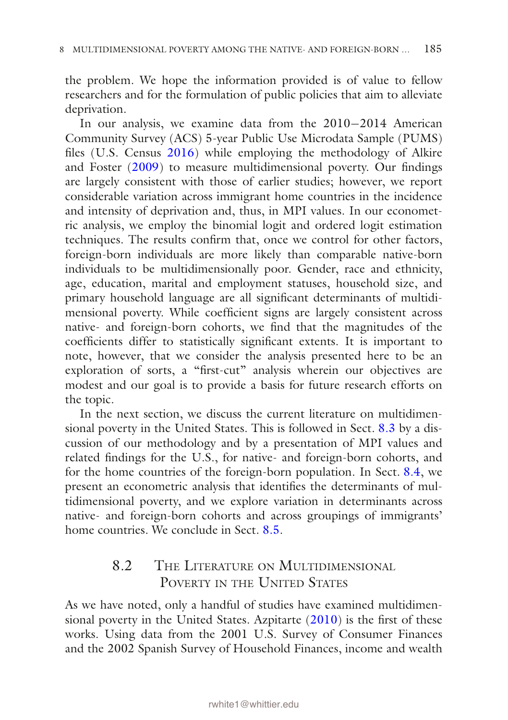the problem. We hope the information provided is of value to fellow researchers and for the formulation of public policies that aim to alleviate deprivation.

In our analysis, we examine data from the 2010−2014 American Community Survey (ACS) 5-year Public Use Microdata Sample (PUMS) fles (U.S. Census [2016\)](#page-39-5) while employing the methodology of Alkire and Foster ([2009](#page-39-6)) to measure multidimensional poverty. Our fndings are largely consistent with those of earlier studies; however, we report considerable variation across immigrant home countries in the incidence and intensity of deprivation and, thus, in MPI values. In our econometric analysis, we employ the binomial logit and ordered logit estimation techniques. The results confrm that, once we control for other factors, foreign-born individuals are more likely than comparable native-born individuals to be multidimensionally poor. Gender, race and ethnicity, age, education, marital and employment statuses, household size, and primary household language are all signifcant determinants of multidimensional poverty. While coeffcient signs are largely consistent across native- and foreign-born cohorts, we fnd that the magnitudes of the coefficients differ to statistically significant extents. It is important to note, however, that we consider the analysis presented here to be an exploration of sorts, a "frst-cut" analysis wherein our objectives are modest and our goal is to provide a basis for future research efforts on the topic.

In the next section, we discuss the current literature on multidimensional poverty in the United States. This is followed in Sect. [8.3](#page-8-0) by a discussion of our methodology and by a presentation of MPI values and related fndings for the U.S., for native- and foreign-born cohorts, and for the home countries of the foreign-born population. In Sect. [8.4,](#page-14-0) we present an econometric analysis that identifes the determinants of multidimensional poverty, and we explore variation in determinants across native- and foreign-born cohorts and across groupings of immigrants' home countries. We conclude in Sect. [8.5](#page-36-0).

# 8.2 THE LITERATURE ON MULTIDIMENSIONAL POVERTY IN THE UNITED STATES

As we have noted, only a handful of studies have examined multidimen-sional poverty in the United States. Azpitarte [\(2010\)](#page-39-4) is the first of these works. Using data from the 2001 U.S. Survey of Consumer Finances and the 2002 Spanish Survey of Household Finances, income and wealth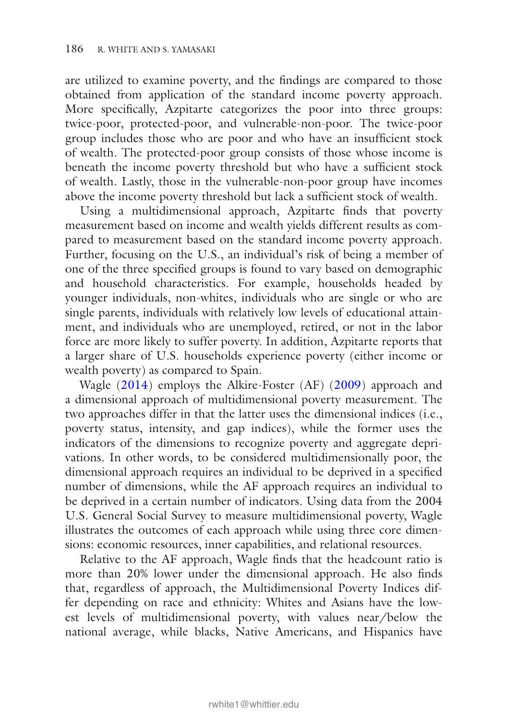are utilized to examine poverty, and the fndings are compared to those obtained from application of the standard income poverty approach. More specifcally, Azpitarte categorizes the poor into three groups: twice-poor, protected-poor, and vulnerable-non-poor. The twice-poor group includes those who are poor and who have an insuffcient stock of wealth. The protected-poor group consists of those whose income is beneath the income poverty threshold but who have a sufficient stock of wealth. Lastly, those in the vulnerable-non-poor group have incomes above the income poverty threshold but lack a sufficient stock of wealth.

Using a multidimensional approach, Azpitarte fnds that poverty measurement based on income and wealth yields different results as compared to measurement based on the standard income poverty approach. Further, focusing on the U.S., an individual's risk of being a member of one of the three specifed groups is found to vary based on demographic and household characteristics. For example, households headed by younger individuals, non-whites, individuals who are single or who are single parents, individuals with relatively low levels of educational attainment, and individuals who are unemployed, retired, or not in the labor force are more likely to suffer poverty. In addition, Azpitarte reports that a larger share of U.S. households experience poverty (either income or wealth poverty) as compared to Spain.

Wagle ([2014](#page-40-1)) employs the Alkire-Foster (AF) [\(2009\)](#page-39-6) approach and a dimensional approach of multidimensional poverty measurement. The two approaches differ in that the latter uses the dimensional indices (i.e., poverty status, intensity, and gap indices), while the former uses the indicators of the dimensions to recognize poverty and aggregate deprivations. In other words, to be considered multidimensionally poor, the dimensional approach requires an individual to be deprived in a specifed number of dimensions, while the AF approach requires an individual to be deprived in a certain number of indicators. Using data from the 2004 U.S. General Social Survey to measure multidimensional poverty, Wagle illustrates the outcomes of each approach while using three core dimensions: economic resources, inner capabilities, and relational resources.

Relative to the AF approach, Wagle fnds that the headcount ratio is more than 20% lower under the dimensional approach. He also fnds that, regardless of approach, the Multidimensional Poverty Indices differ depending on race and ethnicity: Whites and Asians have the lowest levels of multidimensional poverty, with values near/below the national average, while blacks, Native Americans, and Hispanics have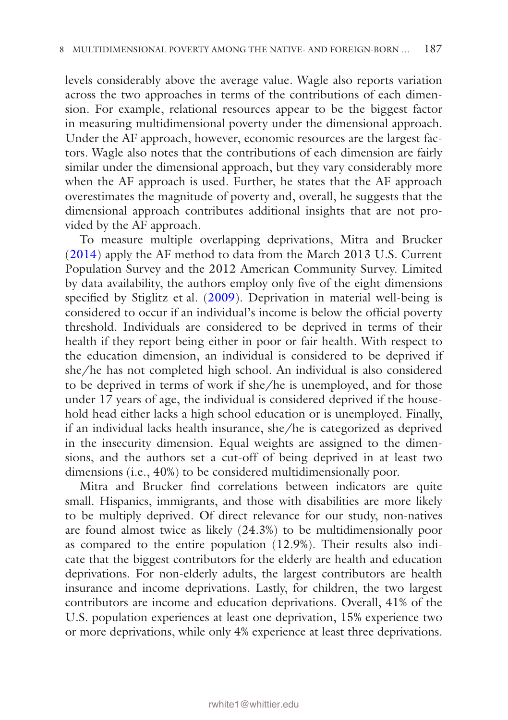levels considerably above the average value. Wagle also reports variation across the two approaches in terms of the contributions of each dimension. For example, relational resources appear to be the biggest factor in measuring multidimensional poverty under the dimensional approach. Under the AF approach, however, economic resources are the largest factors. Wagle also notes that the contributions of each dimension are fairly similar under the dimensional approach, but they vary considerably more when the AF approach is used. Further, he states that the AF approach overestimates the magnitude of poverty and, overall, he suggests that the dimensional approach contributes additional insights that are not provided by the AF approach.

To measure multiple overlapping deprivations, Mitra and Brucker ([2014](#page-39-3)) apply the AF method to data from the March 2013 U.S. Current Population Survey and the 2012 American Community Survey. Limited by data availability, the authors employ only fve of the eight dimensions specifed by Stiglitz et al. ([2009](#page-39-7)). Deprivation in material well-being is considered to occur if an individual's income is below the official poverty threshold. Individuals are considered to be deprived in terms of their health if they report being either in poor or fair health. With respect to the education dimension, an individual is considered to be deprived if she/he has not completed high school. An individual is also considered to be deprived in terms of work if she/he is unemployed, and for those under 17 years of age, the individual is considered deprived if the household head either lacks a high school education or is unemployed. Finally, if an individual lacks health insurance, she/he is categorized as deprived in the insecurity dimension. Equal weights are assigned to the dimensions, and the authors set a cut-off of being deprived in at least two dimensions (i.e., 40%) to be considered multidimensionally poor.

Mitra and Brucker fnd correlations between indicators are quite small. Hispanics, immigrants, and those with disabilities are more likely to be multiply deprived. Of direct relevance for our study, non-natives are found almost twice as likely (24.3%) to be multidimensionally poor as compared to the entire population (12.9%). Their results also indicate that the biggest contributors for the elderly are health and education deprivations. For non-elderly adults, the largest contributors are health insurance and income deprivations. Lastly, for children, the two largest contributors are income and education deprivations. Overall, 41% of the U.S. population experiences at least one deprivation, 15% experience two or more deprivations, while only 4% experience at least three deprivations.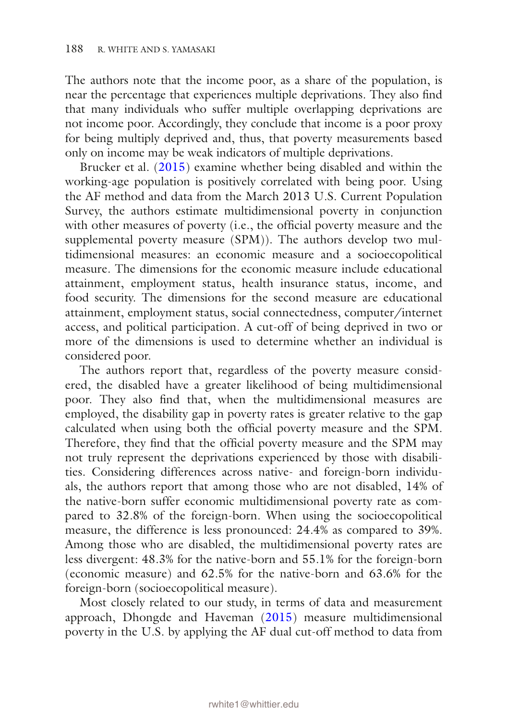The authors note that the income poor, as a share of the population, is near the percentage that experiences multiple deprivations. They also fnd that many individuals who suffer multiple overlapping deprivations are not income poor. Accordingly, they conclude that income is a poor proxy for being multiply deprived and, thus, that poverty measurements based only on income may be weak indicators of multiple deprivations.

Brucker et al. ([2015](#page-39-1)) examine whether being disabled and within the working-age population is positively correlated with being poor. Using the AF method and data from the March 2013 U.S. Current Population Survey, the authors estimate multidimensional poverty in conjunction with other measures of poverty (i.e., the official poverty measure and the supplemental poverty measure (SPM)). The authors develop two multidimensional measures: an economic measure and a socioecopolitical measure. The dimensions for the economic measure include educational attainment, employment status, health insurance status, income, and food security. The dimensions for the second measure are educational attainment, employment status, social connectedness, computer/internet access, and political participation. A cut-off of being deprived in two or more of the dimensions is used to determine whether an individual is considered poor.

The authors report that, regardless of the poverty measure considered, the disabled have a greater likelihood of being multidimensional poor. They also fnd that, when the multidimensional measures are employed, the disability gap in poverty rates is greater relative to the gap calculated when using both the offcial poverty measure and the SPM. Therefore, they find that the official poverty measure and the SPM may not truly represent the deprivations experienced by those with disabilities. Considering differences across native- and foreign-born individuals, the authors report that among those who are not disabled, 14% of the native-born suffer economic multidimensional poverty rate as compared to 32.8% of the foreign-born. When using the socioecopolitical measure, the difference is less pronounced: 24.4% as compared to 39%. Among those who are disabled, the multidimensional poverty rates are less divergent: 48.3% for the native-born and 55.1% for the foreign-born (economic measure) and 62.5% for the native-born and 63.6% for the foreign-born (socioecopolitical measure).

Most closely related to our study, in terms of data and measurement approach, Dhongde and Haveman [\(2015\)](#page-39-2) measure multidimensional poverty in the U.S. by applying the AF dual cut-off method to data from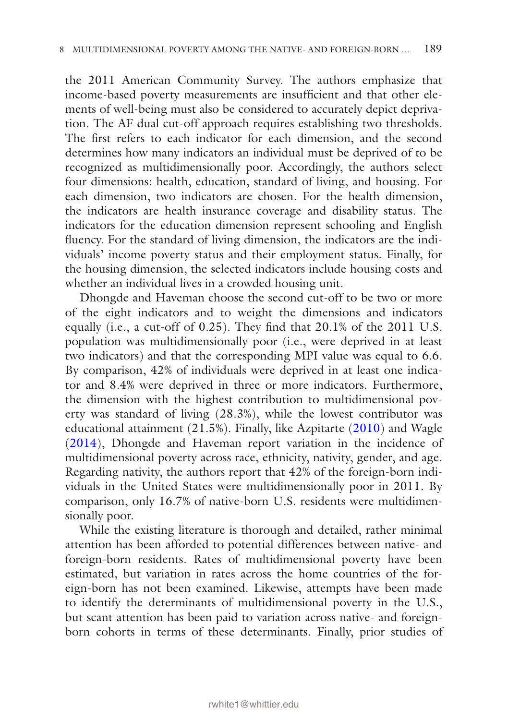the 2011 American Community Survey. The authors emphasize that income-based poverty measurements are insufficient and that other elements of well-being must also be considered to accurately depict deprivation. The AF dual cut-off approach requires establishing two thresholds. The frst refers to each indicator for each dimension, and the second determines how many indicators an individual must be deprived of to be recognized as multidimensionally poor. Accordingly, the authors select four dimensions: health, education, standard of living, and housing. For each dimension, two indicators are chosen. For the health dimension, the indicators are health insurance coverage and disability status. The indicators for the education dimension represent schooling and English fuency. For the standard of living dimension, the indicators are the individuals' income poverty status and their employment status. Finally, for the housing dimension, the selected indicators include housing costs and whether an individual lives in a crowded housing unit.

Dhongde and Haveman choose the second cut-off to be two or more of the eight indicators and to weight the dimensions and indicators equally (i.e., a cut-off of 0.25). They fnd that 20.1% of the 2011 U.S. population was multidimensionally poor (i.e., were deprived in at least two indicators) and that the corresponding MPI value was equal to 6.6. By comparison, 42% of individuals were deprived in at least one indicator and 8.4% were deprived in three or more indicators. Furthermore, the dimension with the highest contribution to multidimensional poverty was standard of living (28.3%), while the lowest contributor was educational attainment (21.5%). Finally, like Azpitarte ([2010](#page-39-4)) and Wagle ([2014](#page-40-1)), Dhongde and Haveman report variation in the incidence of multidimensional poverty across race, ethnicity, nativity, gender, and age. Regarding nativity, the authors report that 42% of the foreign-born individuals in the United States were multidimensionally poor in 2011. By comparison, only 16.7% of native-born U.S. residents were multidimensionally poor.

While the existing literature is thorough and detailed, rather minimal attention has been afforded to potential differences between native- and foreign-born residents. Rates of multidimensional poverty have been estimated, but variation in rates across the home countries of the foreign-born has not been examined. Likewise, attempts have been made to identify the determinants of multidimensional poverty in the U.S., but scant attention has been paid to variation across native- and foreignborn cohorts in terms of these determinants. Finally, prior studies of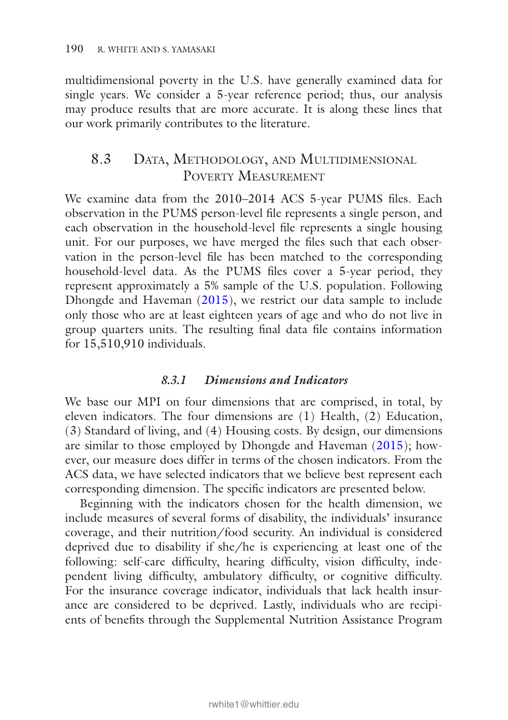multidimensional poverty in the U.S. have generally examined data for single years. We consider a 5-year reference period; thus, our analysis may produce results that are more accurate. It is along these lines that our work primarily contributes to the literature.

# <span id="page-8-0"></span>8.3 Data, Methodology, and Multidimensional POVERTY MEASUREMENT

We examine data from the 2010–2014 ACS 5-year PUMS fles. Each observation in the PUMS person-level fle represents a single person, and each observation in the household-level fle represents a single housing unit. For our purposes, we have merged the fles such that each observation in the person-level fle has been matched to the corresponding household-level data. As the PUMS fles cover a 5-year period, they represent approximately a 5% sample of the U.S. population. Following Dhongde and Haveman [\(2015\)](#page-39-2), we restrict our data sample to include only those who are at least eighteen years of age and who do not live in group quarters units. The resulting fnal data fle contains information for 15,510,910 individuals.

#### *8.3.1 Dimensions and Indicators*

We base our MPI on four dimensions that are comprised, in total, by eleven indicators. The four dimensions are (1) Health, (2) Education, (3) Standard of living, and (4) Housing costs. By design, our dimensions are similar to those employed by Dhongde and Haveman [\(2015](#page-39-2)); however, our measure does differ in terms of the chosen indicators. From the ACS data, we have selected indicators that we believe best represent each corresponding dimension. The specifc indicators are presented below.

Beginning with the indicators chosen for the health dimension, we include measures of several forms of disability, the individuals' insurance coverage, and their nutrition/food security. An individual is considered deprived due to disability if she/he is experiencing at least one of the following: self-care difficulty, hearing difficulty, vision difficulty, independent living diffculty, ambulatory diffculty, or cognitive diffculty. For the insurance coverage indicator, individuals that lack health insurance are considered to be deprived. Lastly, individuals who are recipients of benefts through the Supplemental Nutrition Assistance Program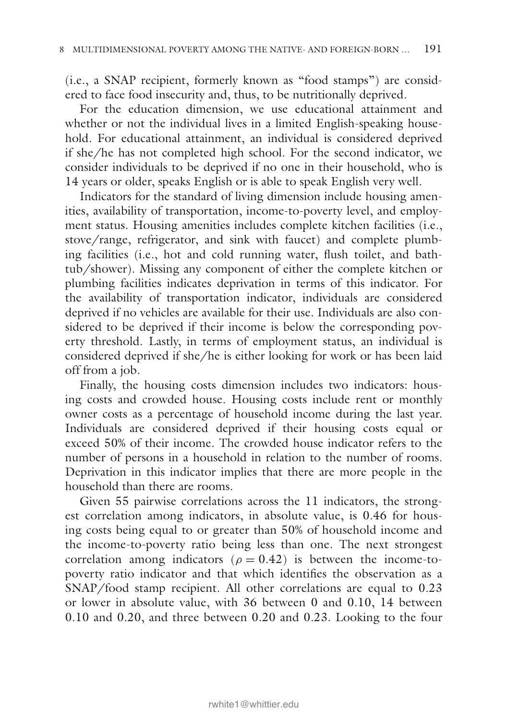(i.e., a SNAP recipient, formerly known as "food stamps") are considered to face food insecurity and, thus, to be nutritionally deprived.

For the education dimension, we use educational attainment and whether or not the individual lives in a limited English-speaking household. For educational attainment, an individual is considered deprived if she/he has not completed high school. For the second indicator, we consider individuals to be deprived if no one in their household, who is 14 years or older, speaks English or is able to speak English very well.

Indicators for the standard of living dimension include housing amenities, availability of transportation, income-to-poverty level, and employment status. Housing amenities includes complete kitchen facilities (i.e., stove/range, refrigerator, and sink with faucet) and complete plumbing facilities (i.e., hot and cold running water, fush toilet, and bathtub/shower). Missing any component of either the complete kitchen or plumbing facilities indicates deprivation in terms of this indicator. For the availability of transportation indicator, individuals are considered deprived if no vehicles are available for their use. Individuals are also considered to be deprived if their income is below the corresponding poverty threshold. Lastly, in terms of employment status, an individual is considered deprived if she/he is either looking for work or has been laid off from a job.

Finally, the housing costs dimension includes two indicators: housing costs and crowded house. Housing costs include rent or monthly owner costs as a percentage of household income during the last year. Individuals are considered deprived if their housing costs equal or exceed 50% of their income. The crowded house indicator refers to the number of persons in a household in relation to the number of rooms. Deprivation in this indicator implies that there are more people in the household than there are rooms.

Given 55 pairwise correlations across the 11 indicators, the strongest correlation among indicators, in absolute value, is 0.46 for housing costs being equal to or greater than 50% of household income and the income-to-poverty ratio being less than one. The next strongest correlation among indicators ( $\rho = 0.42$ ) is between the income-topoverty ratio indicator and that which identifes the observation as a SNAP/food stamp recipient. All other correlations are equal to 0.23 or lower in absolute value, with 36 between 0 and 0.10, 14 between 0.10 and 0.20, and three between 0.20 and 0.23. Looking to the four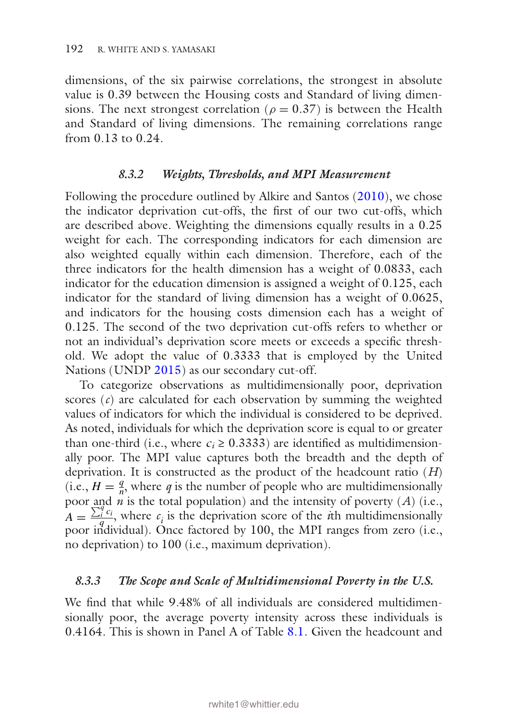dimensions, of the six pairwise correlations, the strongest in absolute value is 0.39 between the Housing costs and Standard of living dimensions. The next strongest correlation ( $\rho = 0.37$ ) is between the Health and Standard of living dimensions. The remaining correlations range from 0.13 to 0.24.

#### *8.3.2 Weights, Thresholds, and MPI Measurement*

Following the procedure outlined by Alkire and Santos [\(2010\)](#page-39-8), we chose the indicator deprivation cut-offs, the frst of our two cut-offs, which are described above. Weighting the dimensions equally results in a 0.25 weight for each. The corresponding indicators for each dimension are also weighted equally within each dimension. Therefore, each of the three indicators for the health dimension has a weight of 0.0833, each indicator for the education dimension is assigned a weight of 0.125, each indicator for the standard of living dimension has a weight of 0.0625, and indicators for the housing costs dimension each has a weight of 0.125. The second of the two deprivation cut-offs refers to whether or not an individual's deprivation score meets or exceeds a specifc threshold. We adopt the value of 0.3333 that is employed by the United Nations (UNDP [2015\)](#page-39-9) as our secondary cut-off.

To categorize observations as multidimensionally poor, deprivation scores (*c*) are calculated for each observation by summing the weighted values of indicators for which the individual is considered to be deprived. As noted, individuals for which the deprivation score is equal to or greater than one-third (i.e., where  $c_i \geq 0.3333$ ) are identified as multidimensionally poor. The MPI value captures both the breadth and the depth of deprivation. It is constructed as the product of the headcount ratio (*H*) (i.e.,  $H = \frac{q}{n}$ , where *q* is the number of people who are multidimensionally poor and  $\vec{n}$  is the total population) and the intensity of poverty  $(A)$  (i.e.,  $A = \frac{\sum_i^q c_i}{q_i}$ , where  $c_i$  is the deprivation score of the *i*th multidimensionally poor individual). Once factored by 100, the MPI ranges from zero (i.e., no deprivation) to 100 (i.e., maximum deprivation).

#### *8.3.3 The Scope and Scale of Multidimensional Poverty in the U.S.*

We fnd that while 9.48% of all individuals are considered multidimensionally poor, the average poverty intensity across these individuals is 0.4164. This is shown in Panel A of Table [8.1](#page-11-0). Given the headcount and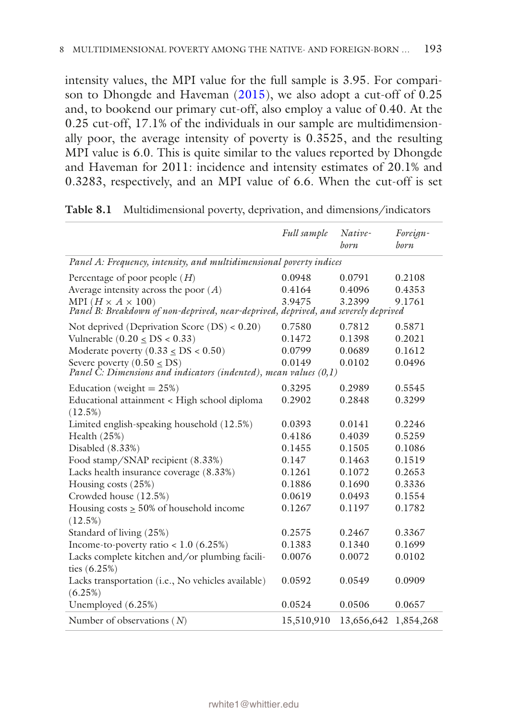intensity values, the MPI value for the full sample is 3.95. For comparison to Dhongde and Haveman ([2015](#page-39-2)), we also adopt a cut-off of 0.25 and, to bookend our primary cut-off, also employ a value of 0.40. At the 0.25 cut-off, 17.1% of the individuals in our sample are multidimensionally poor, the average intensity of poverty is 0.3525, and the resulting MPI value is 6.0. This is quite similar to the values reported by Dhongde and Haveman for 2011: incidence and intensity estimates of 20.1% and 0.3283, respectively, and an MPI value of 6.6. When the cut-off is set

|                                                                                    | Full sample | Native-<br>born      | Foreign-<br><i>born</i> |
|------------------------------------------------------------------------------------|-------------|----------------------|-------------------------|
| Panel A: Frequency, intensity, and multidimensional poverty indices                |             |                      |                         |
| Percentage of poor people $(H)$                                                    | 0.0948      | 0.0791               | 0.2108                  |
| Average intensity across the poor $(A)$                                            | 0.4164      | 0.4096               | 0.4353                  |
| MPI $(H \times A \times 100)$                                                      | 3.9475      | 3.2399               | 9.1761                  |
| Panel B: Breakdown of non-deprived, near-deprived, deprived, and severely deprived |             |                      |                         |
| Not deprived (Deprivation Score $(DS) < 0.20$ )                                    | 0.7580      | 0.7812               | 0.5871                  |
| Vulnerable $(0.20 < DS < 0.33)$                                                    | 0.1472      | 0.1398               | 0.2021                  |
| Moderate poverty ( $0.33 \leq DS < 0.50$ )                                         | 0.0799      | 0.0689               | 0.1612                  |
| Severe poverty $(0.50 < DS)$                                                       | 0.0149      | 0.0102               | 0.0496                  |
| Panel $\tilde{C}$ : Dimensions and indicators (indented), mean values $(0,1)$      |             |                      |                         |
| Education (weight $= 25\%)$                                                        | 0.3295      | 0.2989               | 0.5545                  |
| Educational attainment < High school diploma                                       | 0.2902      | 0.2848               | 0.3299                  |
| (12.5%)                                                                            |             |                      |                         |
| Limited english-speaking household (12.5%)                                         | 0.0393      | 0.0141               | 0.2246                  |
| Health $(25%)$                                                                     | 0.4186      | 0.4039               | 0.5259                  |
| Disabled $(8.33%)$                                                                 | 0.1455      | 0.1505               | 0.1086                  |
| Food stamp/SNAP recipient (8.33%)                                                  | 0.147       | 0.1463               | 0.1519                  |
| Lacks health insurance coverage (8.33%)                                            | 0.1261      | 0.1072               | 0.2653                  |
| Housing costs $(25%)$                                                              | 0.1886      | 0.1690               | 0.3336                  |
| Crowded house (12.5%)                                                              | 0.0619      | 0.0493               | 0.1554                  |
| Housing $costs \ge 50\%$ of household income                                       | 0.1267      | 0.1197               | 0.1782                  |
| (12.5%)                                                                            |             |                      |                         |
| Standard of living (25%)                                                           | 0.2575      | 0.2467               | 0.3367                  |
| Income-to-poverty ratio < $1.0$ (6.25%)                                            | 0.1383      | 0.1340               | 0.1699                  |
| Lacks complete kitchen and/or plumbing facili-                                     | 0.0076      | 0.0072               | 0.0102                  |
| ties $(6.25%)$                                                                     |             |                      |                         |
| Lacks transportation (i.e., No vehicles available)                                 | 0.0592      | 0.0549               | 0.0909                  |
| (6.25%)                                                                            |             |                      |                         |
| Unemployed (6.25%)                                                                 | 0.0524      | 0.0506               | 0.0657                  |
| Number of observations $(N)$                                                       | 15,510,910  | 13,656,642 1,854,268 |                         |

<span id="page-11-0"></span>**Table 8.1** Multidimensional poverty, deprivation, and dimensions/indicators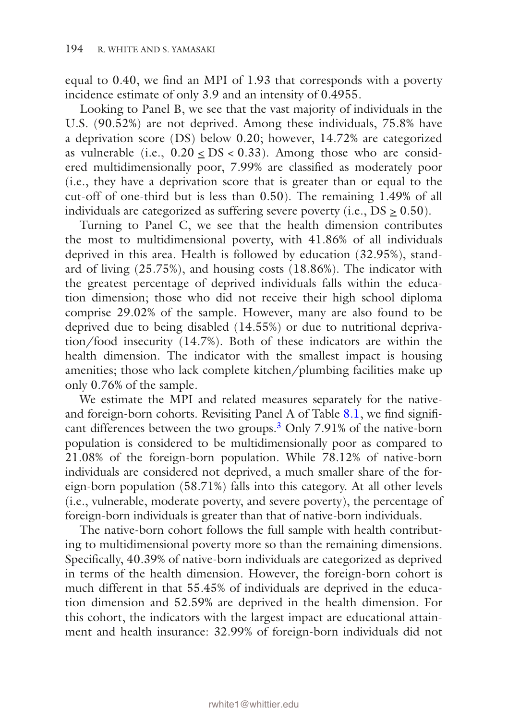equal to 0.40, we fnd an MPI of 1.93 that corresponds with a poverty incidence estimate of only 3.9 and an intensity of 0.4955.

Looking to Panel B, we see that the vast majority of individuals in the U.S. (90.52%) are not deprived. Among these individuals, 75.8% have a deprivation score (DS) below 0.20; however, 14.72% are categorized as vulnerable (i.e.,  $0.20 <$  DS  $< 0.33$ ). Among those who are considered multidimensionally poor, 7.99% are classifed as moderately poor (i.e., they have a deprivation score that is greater than or equal to the cut-off of one-third but is less than 0.50). The remaining 1.49% of all individuals are categorized as suffering severe poverty (i.e., DS > 0.50).

Turning to Panel C, we see that the health dimension contributes the most to multidimensional poverty, with 41.86% of all individuals deprived in this area. Health is followed by education (32.95%), standard of living (25.75%), and housing costs (18.86%). The indicator with the greatest percentage of deprived individuals falls within the education dimension; those who did not receive their high school diploma comprise 29.02% of the sample. However, many are also found to be deprived due to being disabled (14.55%) or due to nutritional deprivation/food insecurity (14.7%). Both of these indicators are within the health dimension. The indicator with the smallest impact is housing amenities; those who lack complete kitchen/plumbing facilities make up only 0.76% of the sample.

We estimate the MPI and related measures separately for the nativeand foreign-born cohorts. Revisiting Panel A of Table [8.1,](#page-11-0) we fnd signifcant differences between the two groups.[3](#page-38-0) Only 7.91% of the native-born population is considered to be multidimensionally poor as compared to 21.08% of the foreign-born population. While 78.12% of native-born individuals are considered not deprived, a much smaller share of the foreign-born population (58.71%) falls into this category. At all other levels (i.e., vulnerable, moderate poverty, and severe poverty), the percentage of foreign-born individuals is greater than that of native-born individuals.

The native-born cohort follows the full sample with health contributing to multidimensional poverty more so than the remaining dimensions. Specifcally, 40.39% of native-born individuals are categorized as deprived in terms of the health dimension. However, the foreign-born cohort is much different in that 55.45% of individuals are deprived in the education dimension and 52.59% are deprived in the health dimension. For this cohort, the indicators with the largest impact are educational attainment and health insurance: 32.99% of foreign-born individuals did not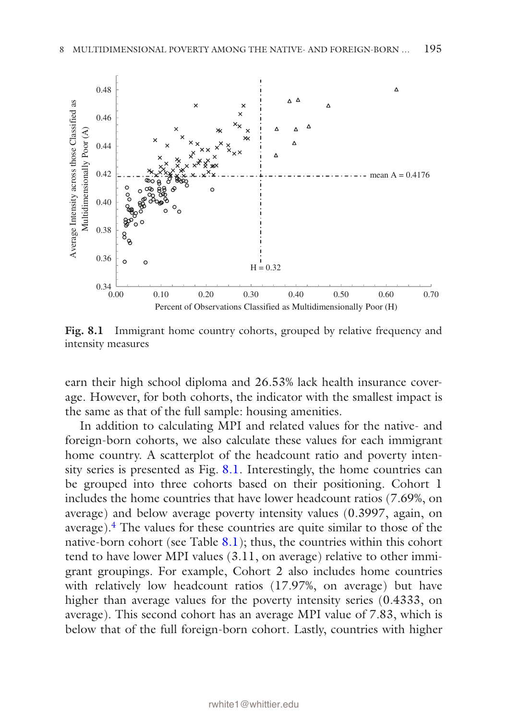

<span id="page-13-0"></span>**Fig. 8.1** Immigrant home country cohorts, grouped by relative frequency and intensity measures

earn their high school diploma and 26.53% lack health insurance coverage. However, for both cohorts, the indicator with the smallest impact is the same as that of the full sample: housing amenities.

In addition to calculating MPI and related values for the native- and foreign-born cohorts, we also calculate these values for each immigrant home country. A scatterplot of the headcount ratio and poverty intensity series is presented as Fig. [8.1.](#page-13-0) Interestingly, the home countries can be grouped into three cohorts based on their positioning. Cohort 1 includes the home countries that have lower headcount ratios (7.69%, on average) and below average poverty intensity values (0.3997, again, on average)[.4](#page-38-0) The values for these countries are quite similar to those of the native-born cohort (see Table  $8.1$ ); thus, the countries within this cohort tend to have lower MPI values (3.11, on average) relative to other immigrant groupings. For example, Cohort 2 also includes home countries with relatively low headcount ratios (17.97%, on average) but have higher than average values for the poverty intensity series (0.4333, on average). This second cohort has an average MPI value of 7.83, which is below that of the full foreign-born cohort. Lastly, countries with higher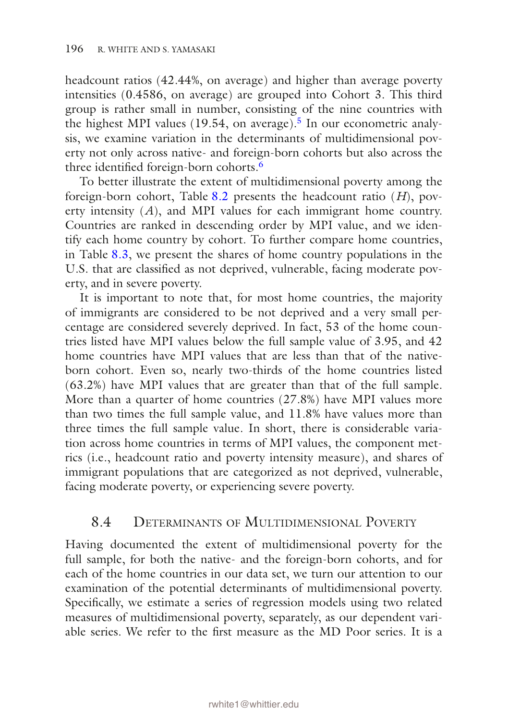headcount ratios (42.44%, on average) and higher than average poverty intensities (0.4586, on average) are grouped into Cohort 3. This third group is rather small in number, consisting of the nine countries with the highest MPI values  $(19.54, \text{ on average})$  $(19.54, \text{ on average})$  $(19.54, \text{ on average})$ .<sup>5</sup> In our econometric analysis, we examine variation in the determinants of multidimensional poverty not only across native- and foreign-born cohorts but also across the three identified foreign-born cohorts.<sup>[6](#page-38-0)</sup>

To better illustrate the extent of multidimensional poverty among the foreign-born cohort, Table [8.2](#page-15-0) presents the headcount ratio (*H*), poverty intensity (*A*), and MPI values for each immigrant home country. Countries are ranked in descending order by MPI value, and we identify each home country by cohort. To further compare home countries, in Table [8.3](#page-18-0), we present the shares of home country populations in the U.S. that are classifed as not deprived, vulnerable, facing moderate poverty, and in severe poverty.

It is important to note that, for most home countries, the majority of immigrants are considered to be not deprived and a very small percentage are considered severely deprived. In fact, 53 of the home countries listed have MPI values below the full sample value of 3.95, and 42 home countries have MPI values that are less than that of the nativeborn cohort. Even so, nearly two-thirds of the home countries listed (63.2%) have MPI values that are greater than that of the full sample. More than a quarter of home countries (27.8%) have MPI values more than two times the full sample value, and 11.8% have values more than three times the full sample value. In short, there is considerable variation across home countries in terms of MPI values, the component metrics (i.e., headcount ratio and poverty intensity measure), and shares of immigrant populations that are categorized as not deprived, vulnerable, facing moderate poverty, or experiencing severe poverty.

## <span id="page-14-0"></span>8.4 **DETERMINANTS OF MULTIDIMENSIONAL POVERTY**

Having documented the extent of multidimensional poverty for the full sample, for both the native- and the foreign-born cohorts, and for each of the home countries in our data set, we turn our attention to our examination of the potential determinants of multidimensional poverty. Specifcally, we estimate a series of regression models using two related measures of multidimensional poverty, separately, as our dependent variable series. We refer to the frst measure as the MD Poor series. It is a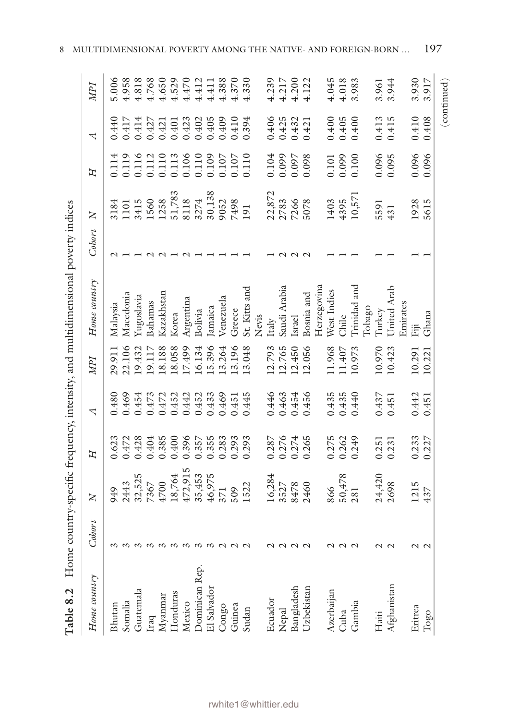<span id="page-15-0"></span>

| Table 8.2      |               |         |                |       |        | Home country-specific frequency, intensity, and multidimensional poverty indices |        |                                                                             |                         |       |             |
|----------------|---------------|---------|----------------|-------|--------|----------------------------------------------------------------------------------|--------|-----------------------------------------------------------------------------|-------------------------|-------|-------------|
| Home country   | Cobort        | z       | Н              | 4     | IdW    | Home country                                                                     | Cohort | $\geq$                                                                      | Н                       | ₹     | MPI         |
| Bhutan         |               | 949     | 0.623          | 0.480 | 29.911 | Malaysia                                                                         |        | 3184                                                                        | 0.114                   | 0.440 | 5.006       |
| Somalia        |               | 2443    | 0.472          | 0.469 | 22.106 | Macedonia                                                                        |        | 1101                                                                        |                         | 1.417 | 1.958       |
| Guatemala      |               | 32,525  | 0.428          | 0.454 | 19.432 | Iugoslavia                                                                       |        | 3415                                                                        | 0.116                   | 1.414 | 4.818       |
| $_{\rm Iraq}$  |               | 7367    | 0.404          | 0.473 | 19.117 | <b>Bahamas</b>                                                                   |        | 1560                                                                        | 1.112                   | 0.427 | 4.768       |
| Myanmar        |               | 4700    | 0.385          | 0.472 | 18.188 | Kazakhstan                                                                       |        | $\begin{array}{l} 1258 \\ 51{,}783 \\ 8118 \\ 3274 \\ 30{,}138 \end{array}$ | 0.110                   | 0.421 | 4.650       |
| Honduras       |               | 18,764  | 0.400          | 0.452 | 18.058 | Korea                                                                            |        |                                                                             | 0.113                   | 0.401 | 1.529       |
| Mexico         |               | 472,915 | 0.396          | 0.442 | 17.499 | Argentina                                                                        |        |                                                                             | 0.106<br>0.110<br>0.110 | 1.423 | 4.470       |
| Dominican Rep. |               | 35,453  | 0.357          | 0.452 | .6.134 | Bolivia                                                                          |        |                                                                             |                         | 0.402 | 4.412       |
| El Salvador    |               | 46,975  | 0.355          | 0.433 | 5.396  | <b>Iamaica</b>                                                                   |        |                                                                             |                         | 0.405 | 4.411       |
| Congo          |               | 371     | 0.283          | 0.469 | .3.264 | Venezuela                                                                        |        | 9052                                                                        | 1.107                   | 0.409 | 4.388       |
| Guinea         |               | 509     | 0.293          | 0.451 | .3.196 | Greece                                                                           |        | 7498                                                                        | 1.107                   | 0.410 | 1.370       |
| Sudan          |               | 1522    |                | 0.445 | 13.048 | St. Kitts and                                                                    |        | 191                                                                         | 01110                   | 0.394 | 1.330       |
|                |               |         |                |       |        | Nevis                                                                            |        |                                                                             |                         |       |             |
| Ecuador        |               | 16,284  | 0.287          | 0.446 | 12.793 | Italy                                                                            |        | 22,872                                                                      | 0.104                   | 0.406 | 4.239       |
| Nepal          |               | 3527    | 0.276          | 0.463 | 12.765 | Saudi Arabia                                                                     |        | 2783                                                                        | 0.099                   | 0.425 | 4.217       |
| Bangladesh     | $\sim$        | 8478    | 0.274          | 0.454 | 12.450 | Israel                                                                           |        | 7266                                                                        | 0.097                   | 0.432 | 4.200       |
| Uzbekistan     | $\sim$        | 2460    | 0.265          | 0.456 | 12.056 | Bosnia and                                                                       |        | 5078                                                                        | 0.098                   | 0.421 | 4.122       |
|                |               |         |                |       |        | Herzegovina                                                                      |        |                                                                             |                         |       |             |
| Azerbaijan     |               | 866     | 0.275          | 0.435 | .1.968 | West Indies                                                                      |        | 1403                                                                        | 0.101                   | 0.400 | 4.045       |
| Cuba           | $\sim$ $\sim$ | 50,478  | 0.262          | 0.435 | 1.407  | Chile                                                                            |        | 4395                                                                        | 0.099                   | 0.405 | 4.018       |
| Gambia         |               | 281     | 0.249          | 0.440 | 10.973 | Trinidad and                                                                     |        | 10,571                                                                      | 0.100                   | 0.400 | 3.983       |
|                |               |         |                |       |        | Tobago                                                                           |        |                                                                             |                         |       |             |
| Haiti          |               | 24,420  | 0.251          | 0.437 | 10.970 | Turkey                                                                           |        | 5591                                                                        | 0.096                   | 0.413 | 3.961       |
| Afghanistan    | $\sim$        | 2698    | 0.231          | 0.451 | 10.423 | United Arab                                                                      |        | 431                                                                         | 0.095                   | 0.415 | 3.944       |
|                |               |         |                |       |        | Emirates                                                                         |        |                                                                             |                         |       |             |
| Eritrea        |               | 1215    | 0.233<br>0.227 | 0.442 | 10.291 | ΪË                                                                               |        | 1928                                                                        | 0.096                   | 0.410 | 3.930       |
| Togo           | こと            | 437     |                | 0.451 | 10.221 | Ghana                                                                            |        | 5615                                                                        | 0.096                   | 0.408 | 3.917       |
|                |               |         |                |       |        |                                                                                  |        |                                                                             |                         |       | (continued) |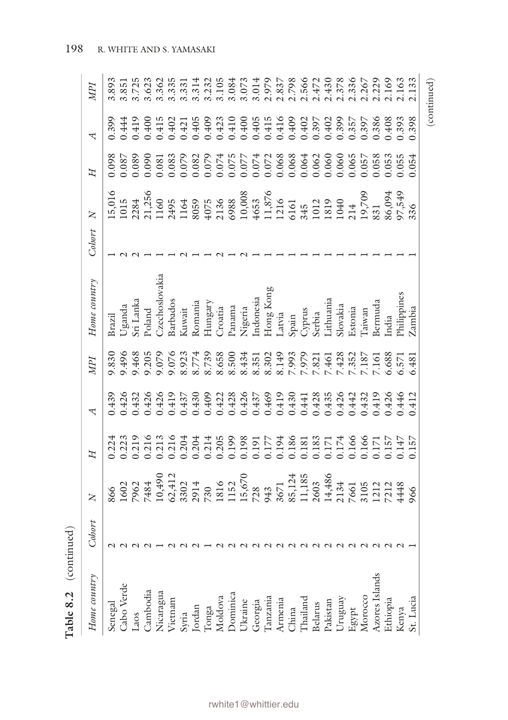| Home country               | Cohort | z                                                                                                                                                                                                                                                                              | H   |                                                                                                                                            | ИPI            | Home country              | Cobort | $\mathsf{z}$                                                                                                                                                                                                                   | Д                                                                                                                                                                                                                                                                                           |                    | ИPI         |
|----------------------------|--------|--------------------------------------------------------------------------------------------------------------------------------------------------------------------------------------------------------------------------------------------------------------------------------|-----|--------------------------------------------------------------------------------------------------------------------------------------------|----------------|---------------------------|--------|--------------------------------------------------------------------------------------------------------------------------------------------------------------------------------------------------------------------------------|---------------------------------------------------------------------------------------------------------------------------------------------------------------------------------------------------------------------------------------------------------------------------------------------|--------------------|-------------|
| Senegal                    |        |                                                                                                                                                                                                                                                                                |     |                                                                                                                                            |                | Brazil                    |        |                                                                                                                                                                                                                                |                                                                                                                                                                                                                                                                                             | 0.399              | 8.893       |
| Cabo Verde                 |        | $\begin{array}{l} 6000\\ 8020\\ 8121\\ 8231\\ 83321\\ 8421\\ 8531\\ 860\\ 8741\\ 8811\\ 8221\\ 8332\\ 8433\\ 8533\\ 8631\\ 8731\\ 8831\\ 8831\\ 884\\ 884\\ 894\\ 894\\ 894\\ 895\\ 871\\ 894\\ 896\\ 894\\ 895\\ 871\\ 894\\ 896\\ 895\\ 811\\ 821\\ 834\\ 84\\ 85\\ 86\\ 87$ |     | 139<br>1426<br>1426<br>1426                                                                                                                | 0.830<br>0.496 | Jganda                    |        | $15.018$ $15.06$ $15.06$ $15.06$ $15.06$ $15.06$ $15.06$ $15.06$ $15.06$ $15.06$ $15.06$ $15.06$ $15.06$ $15.06$ $15.06$ $15.06$ $15.06$ $15.06$ $15.06$ $15.06$ $15.06$ $15.06$ $15.06$ $15.06$ $15.06$ $15.06$ $15.06$ $15.$ | $\begin{array}{l} 0.0887 \\ 0.0870 \\ 0.0890 \\ 0.0800 \\ 0.0800 \\ 0.0800 \\ 0.0000 \\ 0.0000 \\ 0.0000 \\ 0.0000 \\ 0.0000 \\ 0.0000 \\ 0.0000 \\ 0.0000 \\ 0.0000 \\ 0.0000 \\ 0.0000 \\ 0.0000 \\ 0.0000 \\ 0.0000 \\ 0.0000 \\ 0.0000 \\ 0.0000 \\ 0.0000 \\ 0.0000 \\ 0.0000 \\ 0.00$ | .444               | 1,851       |
| aos                        |        |                                                                                                                                                                                                                                                                                |     |                                                                                                                                            |                | iri Lanka                 |        |                                                                                                                                                                                                                                |                                                                                                                                                                                                                                                                                             | $-419$             |             |
| Cambodia                   |        |                                                                                                                                                                                                                                                                                |     |                                                                                                                                            |                | Poland                    |        |                                                                                                                                                                                                                                |                                                                                                                                                                                                                                                                                             | 0.400              |             |
| Nicaragua                  |        |                                                                                                                                                                                                                                                                                |     | 1.426                                                                                                                                      |                | Czechoslovakia            |        |                                                                                                                                                                                                                                |                                                                                                                                                                                                                                                                                             | 1.415              |             |
| Vietnam                    |        |                                                                                                                                                                                                                                                                                |     |                                                                                                                                            |                | Barbados                  |        |                                                                                                                                                                                                                                |                                                                                                                                                                                                                                                                                             | 0.402              |             |
| yria                       |        |                                                                                                                                                                                                                                                                                |     |                                                                                                                                            |                | Kuwait                    |        |                                                                                                                                                                                                                                |                                                                                                                                                                                                                                                                                             | (42)               |             |
|                            |        |                                                                                                                                                                                                                                                                                |     |                                                                                                                                            |                | Romania                   |        |                                                                                                                                                                                                                                |                                                                                                                                                                                                                                                                                             | 0.405              |             |
|                            |        |                                                                                                                                                                                                                                                                                |     |                                                                                                                                            |                | Hungary                   |        |                                                                                                                                                                                                                                |                                                                                                                                                                                                                                                                                             | 0.409              |             |
| Jordan<br>Tonga<br>Moldova |        |                                                                                                                                                                                                                                                                                |     | $\begin{array}{r} 1.437 \\ 1.430 \\ 1.430 \\ 0.409 \\ 1.423 \\ 0.423 \\ 0.437 \\ 0.437 \\ 0.437 \\ 0.437 \\ 0.419 \\ 0.419 \\ \end{array}$ |                | Croatia                   |        |                                                                                                                                                                                                                                |                                                                                                                                                                                                                                                                                             | $0.423$<br>$0.410$ |             |
| Dominica                   |        |                                                                                                                                                                                                                                                                                |     |                                                                                                                                            |                | Panama                    |        |                                                                                                                                                                                                                                |                                                                                                                                                                                                                                                                                             |                    |             |
| Ukraine                    |        |                                                                                                                                                                                                                                                                                |     |                                                                                                                                            |                |                           |        |                                                                                                                                                                                                                                |                                                                                                                                                                                                                                                                                             | 0.400              |             |
| Georgia                    |        |                                                                                                                                                                                                                                                                                |     |                                                                                                                                            |                | Nigeria<br>Indonesia      |        |                                                                                                                                                                                                                                |                                                                                                                                                                                                                                                                                             | 0.405              |             |
| Canzania                   |        |                                                                                                                                                                                                                                                                                |     |                                                                                                                                            |                | Hong Kong                 |        |                                                                                                                                                                                                                                |                                                                                                                                                                                                                                                                                             | 0.415              |             |
| Armenia                    |        |                                                                                                                                                                                                                                                                                |     |                                                                                                                                            |                | Latvia                    |        |                                                                                                                                                                                                                                |                                                                                                                                                                                                                                                                                             | 0.416              |             |
| China                      |        |                                                                                                                                                                                                                                                                                |     | 1.430                                                                                                                                      |                |                           |        |                                                                                                                                                                                                                                |                                                                                                                                                                                                                                                                                             | 0.409              |             |
| <b>Chailand</b>            |        |                                                                                                                                                                                                                                                                                |     |                                                                                                                                            |                | Spain<br>Cyprus<br>Serbia |        |                                                                                                                                                                                                                                |                                                                                                                                                                                                                                                                                             | 0.402              |             |
| <b>Selarus</b>             |        |                                                                                                                                                                                                                                                                                |     | 0.435                                                                                                                                      |                |                           |        |                                                                                                                                                                                                                                |                                                                                                                                                                                                                                                                                             | 1.397              |             |
| Pakistan                   |        |                                                                                                                                                                                                                                                                                |     |                                                                                                                                            |                | ithuania                  |        |                                                                                                                                                                                                                                |                                                                                                                                                                                                                                                                                             | 0.402              |             |
| Uruguay                    |        |                                                                                                                                                                                                                                                                                |     | 1.426                                                                                                                                      |                | Slovakia                  |        |                                                                                                                                                                                                                                |                                                                                                                                                                                                                                                                                             | 1.399<br>1.357     |             |
| Egypt                      |        |                                                                                                                                                                                                                                                                                |     |                                                                                                                                            |                | Estonia                   |        |                                                                                                                                                                                                                                |                                                                                                                                                                                                                                                                                             |                    |             |
| Morocco                    |        |                                                                                                                                                                                                                                                                                |     | 0.432                                                                                                                                      |                | Taiwan                    |        |                                                                                                                                                                                                                                |                                                                                                                                                                                                                                                                                             | 0.397              |             |
| Azores Islands             |        |                                                                                                                                                                                                                                                                                |     | 0.419                                                                                                                                      |                | sermuda                   |        |                                                                                                                                                                                                                                |                                                                                                                                                                                                                                                                                             | 1.386              | .229        |
| Ethiopia                   |        |                                                                                                                                                                                                                                                                                |     | 1.426                                                                                                                                      |                | India                     |        |                                                                                                                                                                                                                                | 0.053                                                                                                                                                                                                                                                                                       | .408               | .169        |
| Kenya                      |        |                                                                                                                                                                                                                                                                                |     |                                                                                                                                            |                | hilippines                |        |                                                                                                                                                                                                                                |                                                                                                                                                                                                                                                                                             | 0.393              | .163        |
| St. Lucia                  |        | 66                                                                                                                                                                                                                                                                             | 157 | 1.412                                                                                                                                      | .481           | Zambia                    |        | 36                                                                                                                                                                                                                             | 0.054                                                                                                                                                                                                                                                                                       | 1.398              |             |
|                            |        |                                                                                                                                                                                                                                                                                |     |                                                                                                                                            |                |                           |        |                                                                                                                                                                                                                                |                                                                                                                                                                                                                                                                                             |                    | (continued) |

**Table 8.2** (continued) *Home country Cohort*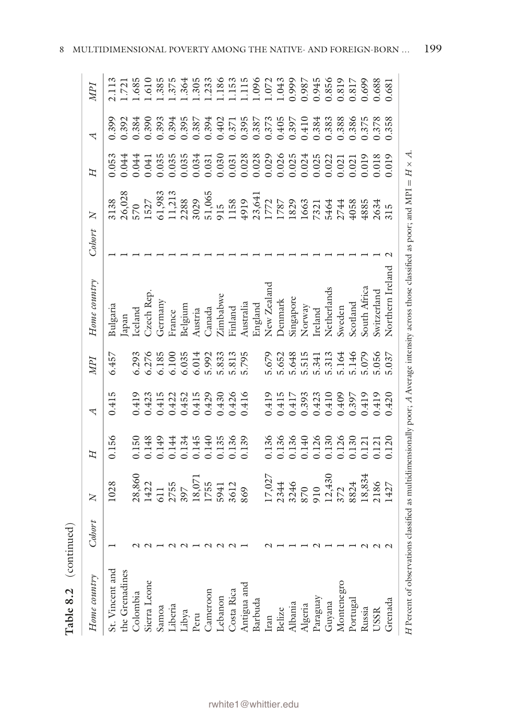| Table 8.2       | (continued) |                                                                                                                 |                                                    |                |                |                                                                                                                                              |        |                                                                                                                                                                                                                                                                                                             |       |       |         |
|-----------------|-------------|-----------------------------------------------------------------------------------------------------------------|----------------------------------------------------|----------------|----------------|----------------------------------------------------------------------------------------------------------------------------------------------|--------|-------------------------------------------------------------------------------------------------------------------------------------------------------------------------------------------------------------------------------------------------------------------------------------------------------------|-------|-------|---------|
| Home country    | Cohort      | $\overline{X}$                                                                                                  | Н                                                  | 4              | ИPI            | Home country                                                                                                                                 | Cobort | $\overline{\mathsf{X}}$                                                                                                                                                                                                                                                                                     | Д     | 4     | MРІ     |
| St. Vincent and |             | 1028                                                                                                            | 0.156                                              | 0.415          | 6.457          | Bulgaria                                                                                                                                     |        |                                                                                                                                                                                                                                                                                                             | 0.05  | 0.399 | 113     |
| the Grenadines  |             |                                                                                                                 |                                                    |                |                | lapan                                                                                                                                        |        | 3138<br>26,028                                                                                                                                                                                                                                                                                              | 044   | 0.392 | (51)    |
| Colombia        |             |                                                                                                                 |                                                    | 0.419          | 6.293          | Iceland                                                                                                                                      |        | 022                                                                                                                                                                                                                                                                                                         | 044   | 1.384 | .685    |
| Sierra Leone    |             |                                                                                                                 |                                                    | 1.423          | 6.276<br>6.185 | Czech Rep                                                                                                                                    |        |                                                                                                                                                                                                                                                                                                             | 0.041 | 0.390 | $010$ . |
| Samoa           |             |                                                                                                                 |                                                    |                |                | Germany                                                                                                                                      |        |                                                                                                                                                                                                                                                                                                             | 0.35  | 0.393 | .385    |
| Liberia         |             |                                                                                                                 |                                                    | 0.422          | 6.100          | France                                                                                                                                       |        |                                                                                                                                                                                                                                                                                                             | 0.35  | 0.394 | .375    |
| Libya           |             | 28,860<br>1422<br>1422<br>5755<br>27555<br>1755<br>1755<br>369<br>369                                           | 0.150<br>0.143<br>0.144<br>0.145<br>0.145<br>0.135 | 0.452          | 6.035          | Belgium                                                                                                                                      |        |                                                                                                                                                                                                                                                                                                             | 0.035 | 0.395 | .364    |
| Peru            |             |                                                                                                                 |                                                    | 1.415          | 6.014          | Austria                                                                                                                                      |        |                                                                                                                                                                                                                                                                                                             | 0.034 | 0.387 | .305    |
| Cameroon        |             |                                                                                                                 |                                                    | 0.429          | 5.992          | Canada                                                                                                                                       |        |                                                                                                                                                                                                                                                                                                             | 0.031 | 0.394 | .233    |
| Lebanon         |             |                                                                                                                 |                                                    | 1.430          | 5.833          | Zimbabwe                                                                                                                                     |        |                                                                                                                                                                                                                                                                                                             | 0.030 | 0.402 | .186    |
| Costa Rica      |             |                                                                                                                 | 1.36                                               | 1.426          | 5.813          | Finland                                                                                                                                      |        |                                                                                                                                                                                                                                                                                                             | 0.031 | 0.371 | .153    |
| Antigua anc     |             |                                                                                                                 | 0.139                                              | 1.416          | 5.795          | Australia                                                                                                                                    |        | $\begin{array}{l} 1527 \\ 15.983 \\ 11.213 \\ 23.88 \\ 36.29 \\ 51.5 \\ 15.8 \\ 15.8 \\ 15.8 \\ 15.8 \\ 15.8 \\ 15.8 \\ 15.8 \\ 15.8 \\ 15.8 \\ 15.8 \\ 15.8 \\ 15.8 \\ 15.8 \\ 15.8 \\ 15.8 \\ 15.8 \\ 15.8 \\ 15.8 \\ 15.8 \\ 15.8 \\ 15.8 \\ 15.8 \\ 15.8 \\ 15.8 \\ 15.8 \\ 15.8 \\ 15.8 \\ 15.8 \\ 15$ | 0.028 | 0.395 | 115     |
| Barbuda         |             |                                                                                                                 |                                                    |                |                | England                                                                                                                                      |        |                                                                                                                                                                                                                                                                                                             | 0.028 | 0.387 | 0.096   |
| Iran            |             |                                                                                                                 |                                                    | 0.419          | 5.679          | New Zealand                                                                                                                                  |        |                                                                                                                                                                                                                                                                                                             | 0.029 | 0.373 | 0.072   |
| Belize          |             | $\begin{array}{l} 17,027\\ 2344\\ 33246\\ 870\\ 910\\ 21,430\\ 372\\ 3824\\ 18,834\\ 18,834\\ 2186 \end{array}$ | 136<br>0.136<br>0.140<br>0.130<br>0.130<br>0.130   | 1.415<br>0.417 | 5.652          | Denmark                                                                                                                                      |        |                                                                                                                                                                                                                                                                                                             | 0.026 | 0.405 | 0.043   |
| Albania         |             |                                                                                                                 |                                                    |                |                | Singapore                                                                                                                                    |        |                                                                                                                                                                                                                                                                                                             | 0.025 | 0.397 | 0.999   |
| Algeria         |             |                                                                                                                 |                                                    | 0.393          | 5.648<br>5.515 | Norway                                                                                                                                       |        |                                                                                                                                                                                                                                                                                                             |       | 0.410 | 0.987   |
| Paraguay        |             |                                                                                                                 |                                                    | 0.423          | 5.341          | Ireland                                                                                                                                      |        |                                                                                                                                                                                                                                                                                                             | 0.25  | 0.384 | 0.945   |
| Guyana          |             |                                                                                                                 |                                                    | 0.410          | 5.313          | Netherlands                                                                                                                                  |        |                                                                                                                                                                                                                                                                                                             | 0.22  | 0.383 | 0.856   |
| Montenegro      |             |                                                                                                                 |                                                    | 0.409          | .164           | Sweden                                                                                                                                       |        |                                                                                                                                                                                                                                                                                                             | 0.021 | 0.388 | 0.819   |
| Portugal        |             |                                                                                                                 |                                                    | 1.397          | .146           | Scotland                                                                                                                                     |        |                                                                                                                                                                                                                                                                                                             | 0.021 | 0.386 | 0.817   |
| Russia          |             |                                                                                                                 | 1.121                                              | 1.419          | 5.079          | South Africa                                                                                                                                 |        | £885                                                                                                                                                                                                                                                                                                        | 0.019 | 0.375 | 0.699   |
| <b>USSR</b>     |             |                                                                                                                 |                                                    | 0.419          | 5.056          | Switzerland                                                                                                                                  |        | 2634                                                                                                                                                                                                                                                                                                        | 0.018 | 0.378 | 0.688   |
| Grenada         |             | 1427                                                                                                            | 1.120                                              | 0.420          | 5.037          | Northern Ireland                                                                                                                             |        | 315                                                                                                                                                                                                                                                                                                         | 0.019 | 0.358 | 0.681   |
|                 |             |                                                                                                                 |                                                    |                |                | H Percent of observations classified as multidimensionally poor; A Average intensity across those classified as poor; and MPI = $H \times A$ |        |                                                                                                                                                                                                                                                                                                             |       |       |         |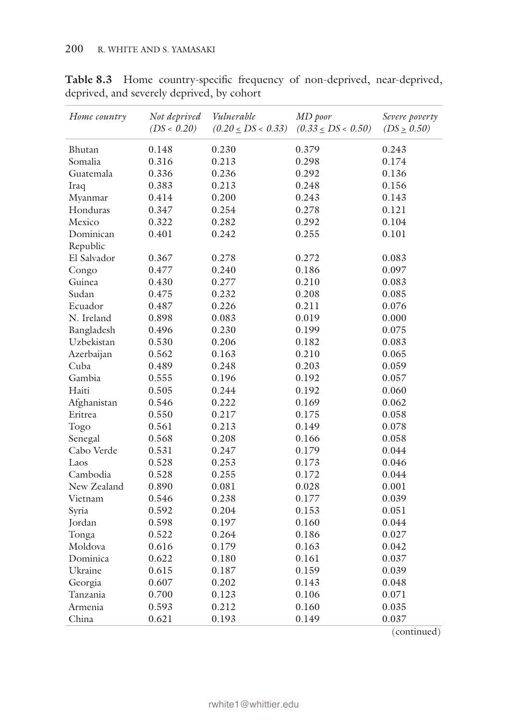| Home country | Not deprived<br>(DS < 0.20) | Vulnerable<br>$(0.20 \le DS < 0.33)$ | MD poor<br>$(0.33 \le DS < 0.50)$ | Severe poverty<br>$(DS \ge 0.50)$ |
|--------------|-----------------------------|--------------------------------------|-----------------------------------|-----------------------------------|
| Bhutan       | 0.148                       | 0.230                                | 0.379                             | 0.243                             |
| Somalia      | 0.316                       | 0.213                                | 0.298                             | 0.174                             |
| Guatemala    | 0.336                       | 0.236                                | 0.292                             | 0.136                             |
| Iraq         | 0.383                       | 0.213                                | 0.248                             | 0.156                             |
| Myanmar      | 0.414                       | 0.200                                | 0.243                             | 0.143                             |
| Honduras     | 0.347                       | 0.254                                | 0.278                             | 0.121                             |
| Mexico       | 0.322                       | 0.282                                | 0.292                             | 0.104                             |
| Dominican    | 0.401                       | 0.242                                | 0.255                             | 0.101                             |
| Republic     |                             |                                      |                                   |                                   |
| El Salvador  | 0.367                       | 0.278                                | 0.272                             | 0.083                             |
| Congo        | 0.477                       | 0.240                                | 0.186                             | 0.097                             |
| Guinea       | 0.430                       | 0.277                                | 0.210                             | 0.083                             |
| Sudan        | 0.475                       | 0.232                                | 0.208                             | 0.085                             |
| Ecuador      | 0.487                       | 0.226                                | 0.211                             | 0.076                             |
| N. Ireland   | 0.898                       | 0.083                                | 0.019                             | 0.000                             |
| Bangladesh   | 0.496                       | 0.230                                | 0.199                             | 0.075                             |
| Uzbekistan   | 0.530                       | 0.206                                | 0.182                             | 0.083                             |
| Azerbaijan   | 0.562                       | 0.163                                | 0.210                             | 0.065                             |
| Cuba         | 0.489                       | 0.248                                | 0.203                             | 0.059                             |
| Gambia       | 0.555                       | 0.196                                | 0.192                             | 0.057                             |
| Haiti        | 0.505                       | 0.244                                | 0.192                             | 0.060                             |
| Afghanistan  | 0.546                       | 0.222                                | 0.169                             | 0.062                             |
| Eritrea      | 0.550                       | 0.217                                | 0.175                             | 0.058                             |
| Togo         | 0.561                       | 0.213                                | 0.149                             | 0.078                             |
| Senegal      | 0.568                       | 0.208                                | 0.166                             | 0.058                             |
| Cabo Verde   | 0.531                       | 0.247                                | 0.179                             | 0.044                             |
| Laos         | 0.528                       | 0.253                                | 0.173                             | 0.046                             |
| Cambodia     | 0.528                       | 0.255                                | 0.172                             | 0.044                             |
| New Zealand  | 0.890                       | 0.081                                | 0.028                             | 0.001                             |
| Vietnam      | 0.546                       | 0.238                                | 0.177                             | 0.039                             |
| Syria        | 0.592                       | 0.204                                | 0.153                             | 0.051                             |
| Jordan       | 0.598                       | 0.197                                | 0.160                             | 0.044                             |
| Tonga        | 0.522                       | 0.264                                | 0.186                             | 0.027                             |
| Moldova      | 0.616                       | 0.179                                | 0.163                             | 0.042                             |
| Dominica     | 0.622                       | 0.180                                | 0.161                             | 0.037                             |
| Ukraine      | 0.615                       | 0.187                                | 0.159                             | 0.039                             |
| Georgia      | 0.607                       | 0.202                                | 0.143                             | 0.048                             |
| Tanzania     | 0.700                       | 0.123                                | 0.106                             | 0.071                             |
| Armenia      | 0.593                       | 0.212                                | 0.160                             | 0.035                             |
| China        | 0.621                       | 0.193                                | 0.149                             | 0.037                             |

<span id="page-18-0"></span>**Table 8.3** Home country-specifc frequency of non-deprived, near-deprived, deprived, and severely deprived, by cohort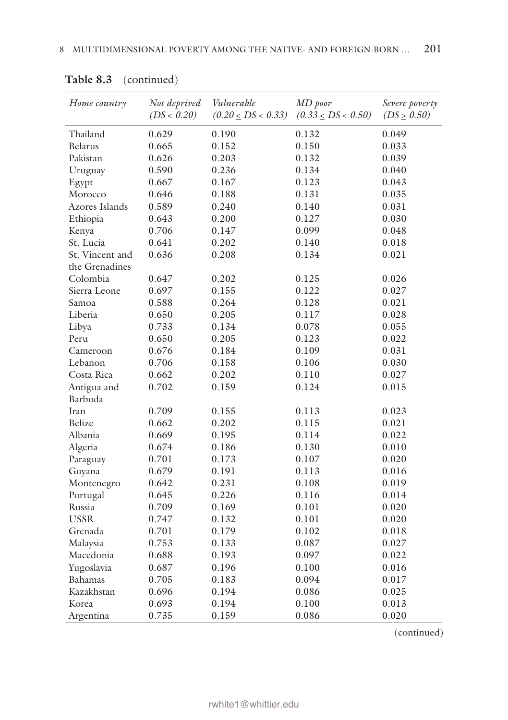| Home country    | Not deprived<br>(DS < 0.20) | Vulnerable<br>$(0.20 \le DS < 0.33)$ | MD poor<br>$(0.33 \le DS < 0.50)$ | Severe poverty<br>$(DS \ge 0.50)$ |
|-----------------|-----------------------------|--------------------------------------|-----------------------------------|-----------------------------------|
| Thailand        | 0.629                       | 0.190                                | 0.132                             | 0.049                             |
| <b>Belarus</b>  | 0.665                       | 0.152                                | 0.150                             | 0.033                             |
| Pakistan        | 0.626                       | 0.203                                | 0.132                             | 0.039                             |
| Uruguay         | 0.590                       | 0.236                                | 0.134                             | 0.040                             |
| Egypt           | 0.667                       | 0.167                                | 0.123                             | 0.043                             |
| Morocco         | 0.646                       | 0.188                                | 0.131                             | 0.035                             |
| Azores Islands  | 0.589                       | 0.240                                | 0.140                             | 0.031                             |
| Ethiopia        | 0.643                       | 0.200                                | 0.127                             | 0.030                             |
| Kenya           | 0.706                       | 0.147                                | 0.099                             | 0.048                             |
| St. Lucia       | 0.641                       | 0.202                                | 0.140                             | 0.018                             |
| St. Vincent and | 0.636                       | 0.208                                | 0.134                             | 0.021                             |
| the Grenadines  |                             |                                      |                                   |                                   |
| Colombia        | 0.647                       | 0.202                                | 0.125                             | 0.026                             |
| Sierra Leone    | 0.697                       | 0.155                                | 0.122                             | 0.027                             |
| Samoa           | 0.588                       | 0.264                                | 0.128                             | 0.021                             |
| Liberia         | 0.650                       | 0.205                                | 0.117                             | 0.028                             |
| Libya           | 0.733                       | 0.134                                | 0.078                             | 0.055                             |
| Peru            | 0.650                       | 0.205                                | 0.123                             | 0.022                             |
| Cameroon        | 0.676                       | 0.184                                | 0.109                             | 0.031                             |
| Lebanon         | 0.706                       | 0.158                                | 0.106                             | 0.030                             |
| Costa Rica      | 0.662                       | 0.202                                | 0.110                             | 0.027                             |
| Antigua and     | 0.702                       | 0.159                                | 0.124                             | 0.015                             |
| Barbuda         |                             |                                      |                                   |                                   |
| Iran            | 0.709                       | 0.155                                | 0.113                             | 0.023                             |
| <b>Belize</b>   | 0.662                       | 0.202                                | 0.115                             | 0.021                             |
| Albania         | 0.669                       | 0.195                                | 0.114                             | 0.022                             |
| Algeria         | 0.674                       | 0.186                                | 0.130                             | 0.010                             |
| Paraguay        | 0.701                       | 0.173                                | 0.107                             | 0.020                             |
| Guyana          | 0.679                       | 0.191                                | 0.113                             | 0.016                             |
| Montenegro      | 0.642                       | 0.231                                | 0.108                             | 0.019                             |
| Portugal        | 0.645                       | 0.226                                | 0.116                             | 0.014                             |
| Russia          | 0.709                       | 0.169                                | 0.101                             | 0.020                             |
| <b>USSR</b>     | 0.747                       | 0.132                                | 0.101                             | 0.020                             |
| Grenada         | 0.701                       | 0.179                                | 0.102                             | 0.018                             |
| Malaysia        | 0.753                       | 0.133                                | 0.087                             | 0.027                             |
| Macedonia       | 0.688                       | 0.193                                | 0.097                             | 0.022                             |
| Yugoslavia      | 0.687                       | 0.196                                | 0.100                             | 0.016                             |
| Bahamas         | 0.705                       | 0.183                                | 0.094                             | 0.017                             |
| Kazakhstan      | 0.696                       | 0.194                                | 0.086                             | 0.025                             |
| Korea           | 0.693                       | 0.194                                | 0.100                             | 0.013                             |
| Argentina       | 0.735                       | 0.159                                | 0.086                             | 0.020                             |

**Table 8.3** (continued)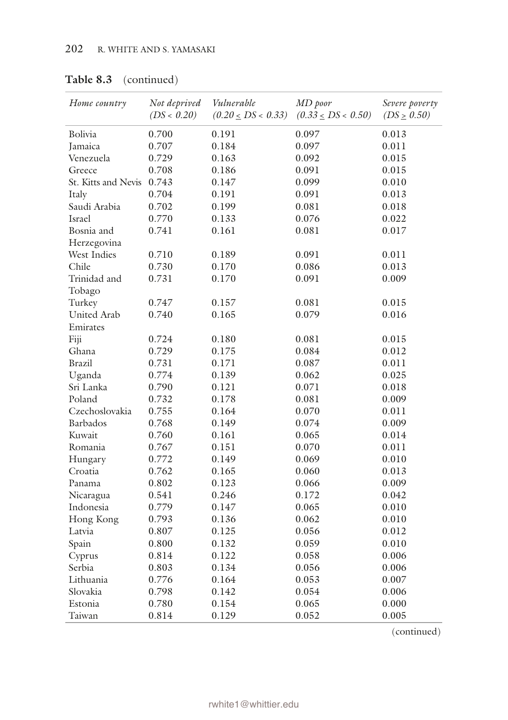| Home country        | Not deprived<br>(DS < 0.20) | Vulnerable<br>$(0.20 \le DS < 0.33)$ | MD poor<br>$(0.33 \le DS < 0.50)$ | Severe poverty<br>$(DS \geq 0.50)$ |
|---------------------|-----------------------------|--------------------------------------|-----------------------------------|------------------------------------|
| Bolivia             | 0.700                       | 0.191                                | 0.097                             | 0.013                              |
| Jamaica             | 0.707                       | 0.184                                | 0.097                             | 0.011                              |
| Venezuela           | 0.729                       | 0.163                                | 0.092                             | 0.015                              |
| Greece              | 0.708                       | 0.186                                | 0.091                             | 0.015                              |
| St. Kitts and Nevis | 0.743                       | 0.147                                | 0.099                             | 0.010                              |
| Italy               | 0.704                       | 0.191                                | 0.091                             | 0.013                              |
| Saudi Arabia        | 0.702                       | 0.199                                | 0.081                             | 0.018                              |
| Israel              | 0.770                       | 0.133                                | 0.076                             | 0.022                              |
| Bosnia and          | 0.741                       | 0.161                                | 0.081                             | 0.017                              |
| Herzegovina         |                             |                                      |                                   |                                    |
| West Indies         | 0.710                       | 0.189                                | 0.091                             | 0.011                              |
| Chile               | 0.730                       | 0.170                                | 0.086                             | 0.013                              |
| Trinidad and        | 0.731                       | 0.170                                | 0.091                             | 0.009                              |
| Tobago              |                             |                                      |                                   |                                    |
| Turkey              | 0.747                       | 0.157                                | 0.081                             | 0.015                              |
| United Arab         | 0.740                       | 0.165                                | 0.079                             | 0.016                              |
| Emirates            |                             |                                      |                                   |                                    |
| Fiji                | 0.724                       | 0.180                                | 0.081                             | 0.015                              |
| Ghana               | 0.729                       | 0.175                                | 0.084                             | 0.012                              |
| Brazil              | 0.731                       | 0.171                                | 0.087                             | 0.011                              |
| Uganda              | 0.774                       | 0.139                                | 0.062                             | 0.025                              |
| Sri Lanka           | 0.790                       | 0.121                                | 0.071                             | 0.018                              |
| Poland              | 0.732                       | 0.178                                | 0.081                             | 0.009                              |
| Czechoslovakia      | 0.755                       | 0.164                                | 0.070                             | 0.011                              |
| Barbados            | 0.768                       | 0.149                                | 0.074                             | 0.009                              |
| Kuwait              | 0.760                       | 0.161                                | 0.065                             | 0.014                              |
| Romania             | 0.767                       | 0.151                                | 0.070                             | 0.011                              |
| Hungary             | 0.772                       | 0.149                                | 0.069                             | 0.010                              |
| Croatia             | 0.762                       | 0.165                                | 0.060                             | 0.013                              |
| Panama              | 0.802                       | 0.123                                | 0.066                             | 0.009                              |
| Nicaragua           | 0.541                       | 0.246                                | 0.172                             | 0.042                              |
| Indonesia           | 0.779                       | 0.147                                | 0.065                             | 0.010                              |
| Hong Kong           | 0.793                       | 0.136                                | 0.062                             | 0.010                              |
| Latvia              | 0.807                       | 0.125                                | 0.056                             | 0.012                              |
| Spain               | 0.800                       | 0.132                                | 0.059                             | 0.010                              |
| Cyprus              | 0.814                       | 0.122                                | 0.058                             | 0.006                              |
| Serbia              | 0.803                       | 0.134                                | 0.056                             | 0.006                              |
| Lithuania           | 0.776                       | 0.164                                | 0.053                             | 0.007                              |
| Slovakia            | 0.798                       | 0.142                                | 0.054                             | 0.006                              |
| Estonia             | 0.780                       | 0.154                                | 0.065                             | 0.000                              |
| Taiwan              | 0.814                       | 0.129                                | 0.052                             | 0.005                              |

**Table 8.3** (continued)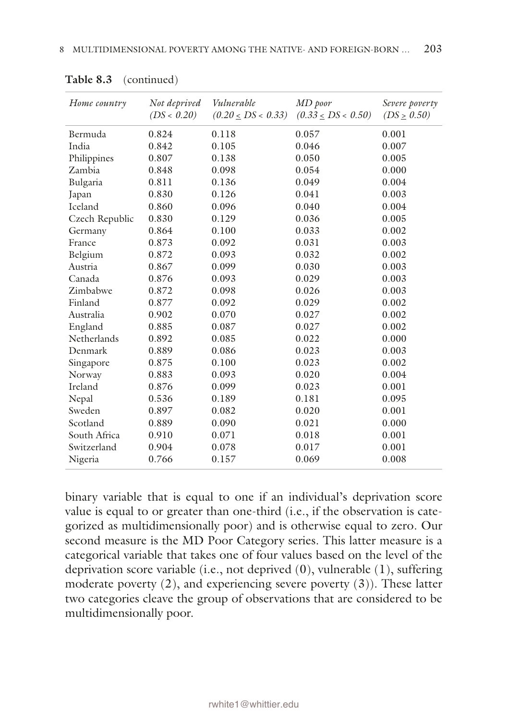| Home country   | Not deprived | Vulnerable         | MD poor                | Severe poverty  |
|----------------|--------------|--------------------|------------------------|-----------------|
|                | (DS < 0.20)  | (0.20 < DS < 0.33) | $(0.33 \le DS < 0.50)$ | $(DS \ge 0.50)$ |
|                |              |                    |                        |                 |
| Bermuda        | 0.824        | 0.118              | 0.057                  | 0.001           |
| India          | 0.842        | 0.105              | 0.046                  | 0.007           |
| Philippines    | 0.807        | 0.138              | 0.050                  | 0.005           |
| Zambia         | 0.848        | 0.098              | 0.054                  | 0.000           |
| Bulgaria       | 0.811        | 0.136              | 0.049                  | 0.004           |
| Japan          | 0.830        | 0.126              | 0.041                  | 0.003           |
| Iceland        | 0.860        | 0.096              | 0.040                  | 0.004           |
| Czech Republic | 0.830        | 0.129              | 0.036                  | 0.005           |
| Germany        | 0.864        | 0.100              | 0.033                  | 0.002           |
| France         | 0.873        | 0.092              | 0.031                  | 0.003           |
| Belgium        | 0.872        | 0.093              | 0.032                  | 0.002           |
| Austria        | 0.867        | 0.099              | 0.030                  | 0.003           |
| Canada         | 0.876        | 0.093              | 0.029                  | 0.003           |
| Zimbabwe       | 0.872        | 0.098              | 0.026                  | 0.003           |
| Finland        | 0.877        | 0.092              | 0.029                  | 0.002           |
| Australia      | 0.902        | 0.070              | 0.027                  | 0.002           |
| England        | 0.885        | 0.087              | 0.027                  | 0.002           |
| Netherlands    | 0.892        | 0.085              | 0.022                  | 0.000           |
| Denmark        | 0.889        | 0.086              | 0.023                  | 0.003           |
| Singapore      | 0.875        | 0.100              | 0.023                  | 0.002           |
| Norway         | 0.883        | 0.093              | 0.020                  | 0.004           |
| Ireland        | 0.876        | 0.099              | 0.023                  | 0.001           |
| Nepal          | 0.536        | 0.189              | 0.181                  | 0.095           |
| Sweden         | 0.897        | 0.082              | 0.020                  | 0.001           |
| Scotland       | 0.889        | 0.090              | 0.021                  | 0.000           |
| South Africa   | 0.910        | 0.071              | 0.018                  | 0.001           |
| Switzerland    | 0.904        | 0.078              | 0.017                  | 0.001           |
| Nigeria        | 0.766        | 0.157              | 0.069                  | 0.008           |

**Table 8.3** (continued)

binary variable that is equal to one if an individual's deprivation score value is equal to or greater than one-third (i.e., if the observation is categorized as multidimensionally poor) and is otherwise equal to zero. Our second measure is the MD Poor Category series. This latter measure is a categorical variable that takes one of four values based on the level of the deprivation score variable (i.e., not deprived (0), vulnerable (1), suffering moderate poverty (2), and experiencing severe poverty (3)). These latter two categories cleave the group of observations that are considered to be multidimensionally poor.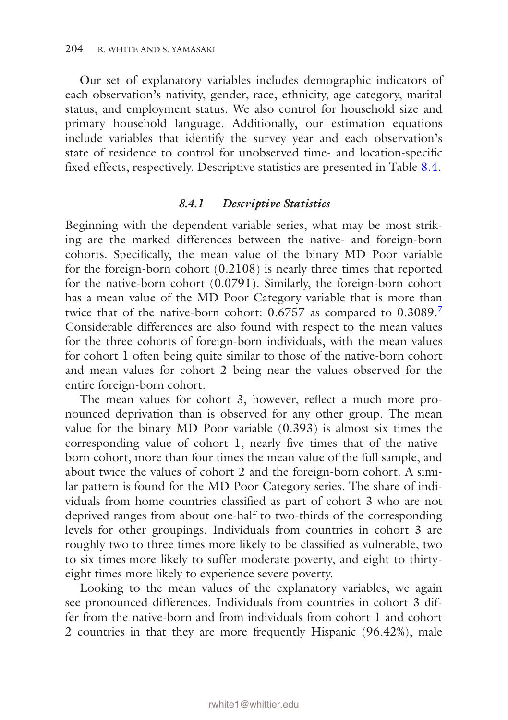Our set of explanatory variables includes demographic indicators of each observation's nativity, gender, race, ethnicity, age category, marital status, and employment status. We also control for household size and primary household language. Additionally, our estimation equations include variables that identify the survey year and each observation's state of residence to control for unobserved time- and location-specifc fxed effects, respectively. Descriptive statistics are presented in Table [8.4.](#page-23-0)

#### *8.4.1 Descriptive Statistics*

Beginning with the dependent variable series, what may be most striking are the marked differences between the native- and foreign-born cohorts. Specifcally, the mean value of the binary MD Poor variable for the foreign-born cohort (0.2108) is nearly three times that reported for the native-born cohort (0.0791). Similarly, the foreign-born cohort has a mean value of the MD Poor Category variable that is more than twice that of the native-born cohort: 0.6[7](#page-38-0)57 as compared to 0.3089.<sup>7</sup> Considerable differences are also found with respect to the mean values for the three cohorts of foreign-born individuals, with the mean values for cohort 1 often being quite similar to those of the native-born cohort and mean values for cohort 2 being near the values observed for the entire foreign-born cohort.

The mean values for cohort 3, however, refect a much more pronounced deprivation than is observed for any other group. The mean value for the binary MD Poor variable (0.393) is almost six times the corresponding value of cohort 1, nearly fve times that of the nativeborn cohort, more than four times the mean value of the full sample, and about twice the values of cohort 2 and the foreign-born cohort. A similar pattern is found for the MD Poor Category series. The share of individuals from home countries classifed as part of cohort 3 who are not deprived ranges from about one-half to two-thirds of the corresponding levels for other groupings. Individuals from countries in cohort 3 are roughly two to three times more likely to be classifed as vulnerable, two to six times more likely to suffer moderate poverty, and eight to thirtyeight times more likely to experience severe poverty.

Looking to the mean values of the explanatory variables, we again see pronounced differences. Individuals from countries in cohort 3 differ from the native-born and from individuals from cohort 1 and cohort 2 countries in that they are more frequently Hispanic (96.42%), male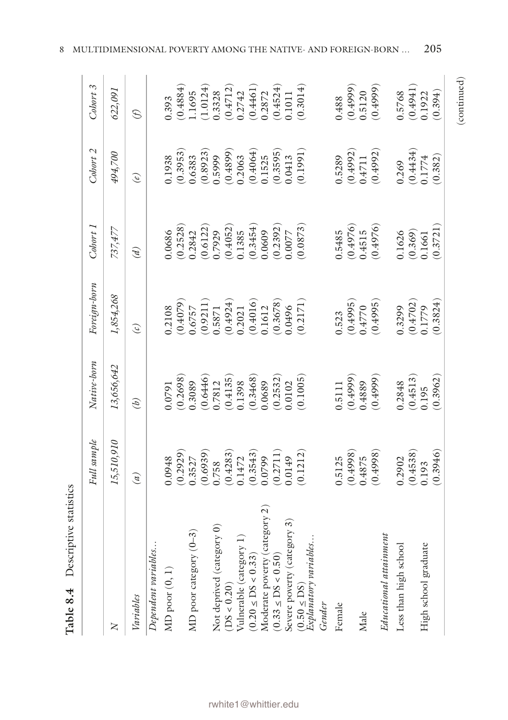<span id="page-23-0"></span>

| Descriptive statistics<br>Table 8.4       |             |                          |               |                                                   |               |                         |
|-------------------------------------------|-------------|--------------------------|---------------|---------------------------------------------------|---------------|-------------------------|
|                                           | Full sample | Native-born              | Foreign-born  | Cobort 1                                          | Cohort 2      | Cobort 3                |
| $\geq$                                    | 15,510,910  | 13,656,642               | 1,854,268     | 737,477                                           | 494,700       | 622,091                 |
| Variables                                 | (a)         | $\overline{\mathcal{E}}$ | $\widehat{c}$ | $\overline{a}$                                    | $\mathcal{C}$ | $\widehat{\mathcal{E}}$ |
| Dependent variables                       |             |                          |               |                                                   |               |                         |
| $MD$ poor $(0, 1)$                        | 0.0948      | 0.0791                   | 0.2108        | 0.0686                                            | 0.1938        | 0.393                   |
|                                           | (0.2929)    | 0.2698                   | (0.4079)      | (0.2528)                                          | (0.3953)      | 0.4884                  |
| MD poor category (0-3)                    | 0.3527      | 0.3089                   | 0.6757        | 0.2842                                            | 0.6383        | 1.1695                  |
|                                           | (6.6939)    | (0.6446)                 | (0.9211)      |                                                   | (0.8923)      | 1.0124                  |
| Not deprived (category 0)                 | 0.758       | 0.7812                   | 0.5871        | $\begin{array}{c} (0.6122) \\ 0.7929 \end{array}$ | 0.5999        | 0.3328                  |
| (DS < 0.20)                               | (0.4283)    | (0.4135)                 | (0.4924)      | (0.4052)                                          | (0.4899)      | (0.4712)                |
| Vulnerable (category 1                    | 0.1472      | 0.1398                   | 0.2021        | 0.1385                                            | 0.2063        | 0.2742                  |
| $(0.20 \leq DS < 0.33)$                   | (0.3543)    | (0.3468)                 | (0.4016)      | (0.3454)                                          | (0.4064)      | (0.4461)                |
| Moderate poverty (category 2)             | 0.0799      | 0.0689                   | 0.1612        | 0.0609                                            | 0.1525        | 0.2872                  |
| $(0.33 \leq DS < 0.50)$                   | 0.2711      | (0.2532)                 | (0.3678)      | (0.2392)                                          | (0.3595)      | (0.4524)                |
| Severe poverty (category 3)               | 0.0149      | 0.0102                   | 0.0496        | 0.0077                                            | 0.0413        | 0.1011                  |
| Explanatory variables<br>$(0.50 \leq DS)$ | (0.1212)    | (0.1005)                 | (0.2171)      | 0.0873                                            | (0.1991)      | (0.3014)                |
| Gender                                    |             |                          |               |                                                   |               |                         |
| Female                                    | 0.5125      | 0.5111                   | 0.523         | 1.5485                                            | 0.5289        | 0.488                   |
|                                           | (9.4998)    | (0.4999)                 | (0.4995)      | (0.4976)                                          | (0.4992)      | $(0.4999)$ $0.5120$     |
| Male                                      | 0.4875      | 0.4889                   | 0.4770        | 0.4515                                            | 0.4711        |                         |
|                                           | (8665.0)    | (0.4999)                 | (0.4995)      | (0.4976)                                          | (0.4992)      | (66650)                 |
| Educational attainment                    |             |                          |               |                                                   |               |                         |
| Less than high school                     | 0.2902      | 0.2848                   | 0.3299        | 0.1626                                            | 0.269         | 0.5768                  |
|                                           | (0.4538)    | (0.4513)                 | (0.4702)      | (0.369)                                           | (0.4434)      | (0.4941)                |
| High school graduate                      | 0.193       | 0.195                    | 0.1779        | 0.1661                                            | 0.1774        | 0.1922                  |
|                                           | (0.3946)    | (0.3962)                 | (0.3824)      | (0.3721)                                          | (0.382)       | (0.394)                 |
|                                           |             |                          |               |                                                   |               |                         |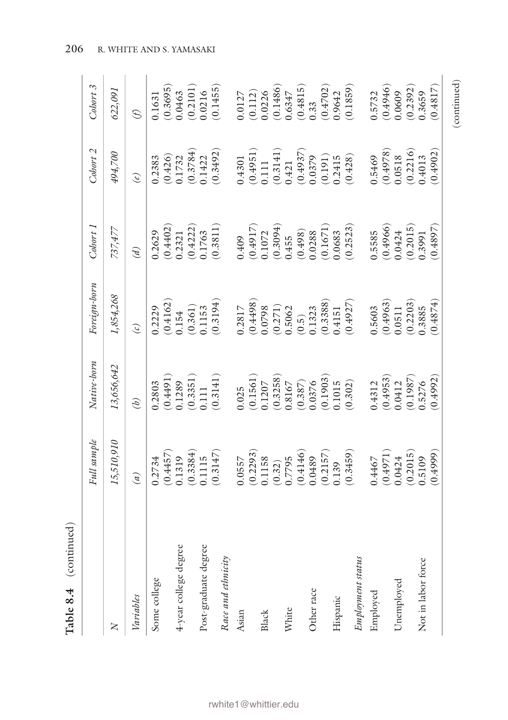| Some college<br>Variables<br>z |                                                                                                                                                         |                                                                                                                                                       |                                                                                                                                           |                                                                                                                                                         |                                                                                                                                                                    |                                                                                                                                                                             |
|--------------------------------|---------------------------------------------------------------------------------------------------------------------------------------------------------|-------------------------------------------------------------------------------------------------------------------------------------------------------|-------------------------------------------------------------------------------------------------------------------------------------------|---------------------------------------------------------------------------------------------------------------------------------------------------------|--------------------------------------------------------------------------------------------------------------------------------------------------------------------|-----------------------------------------------------------------------------------------------------------------------------------------------------------------------------|
|                                | Full sample                                                                                                                                             | Native-born                                                                                                                                           | Foreign-born                                                                                                                              | Cohort 1                                                                                                                                                | Cohort 2                                                                                                                                                           | Cobort 3                                                                                                                                                                    |
|                                | 15,510,910                                                                                                                                              | 13,656,642                                                                                                                                            | 1,854,268                                                                                                                                 | 737,477                                                                                                                                                 | 494,700                                                                                                                                                            | 622,091                                                                                                                                                                     |
|                                | (a)                                                                                                                                                     | $\overline{\mathcal{E}}$                                                                                                                              | $\mathcal{L}$                                                                                                                             | $\mathscr{L}$                                                                                                                                           | $\mathcal{E}$                                                                                                                                                      | $\widehat{\mathcal{L}}$                                                                                                                                                     |
|                                |                                                                                                                                                         |                                                                                                                                                       |                                                                                                                                           |                                                                                                                                                         |                                                                                                                                                                    |                                                                                                                                                                             |
| 4-year college degree          | $\begin{array}{l} (0.2734 \\ (0.4457) \\ (1.319 \\ (0.13384) \\ (0.3384) \\ (0.1115 \\ (0.3147) \end{array}$                                            | $\begin{array}{c} (0.2803 \ (0.4491) \ 0.1289 \ (0.3351) \ (0.3351) \ 0.111 \ 0.111 \end{array}$                                                      | $\begin{array}{c} (0.2229\ (0.4162)\ (0.154\ 0.154\ (0.361)\ 0.1153\ (0.1153\ 0.1153\ (0.3194)\ \end{array}$                              | $\begin{array}{l} 0.2629\\ (0.4402)\\ 0.2321\\ (0.4222)\\ (0.1763\\ 0.1763\\ (0.3811) \end{array}$                                                      | $\begin{array}{l} 0.2383\\ (0.426)\\ (0.1732\\ (0.3784)\\ (0.342)\\ 0.1422\\ (0.3492) \end{array}$                                                                 | $\begin{array}{l} (0.1631\ (0.3695)\ 0.0463\ 0.02101)\ (0.2101)\ 0.0216\ 0.01455) \end{array}$                                                                              |
| Post-graduate degree           |                                                                                                                                                         |                                                                                                                                                       |                                                                                                                                           |                                                                                                                                                         |                                                                                                                                                                    |                                                                                                                                                                             |
| Race and ethnicity             |                                                                                                                                                         |                                                                                                                                                       |                                                                                                                                           |                                                                                                                                                         |                                                                                                                                                                    |                                                                                                                                                                             |
| Asian                          |                                                                                                                                                         |                                                                                                                                                       |                                                                                                                                           |                                                                                                                                                         |                                                                                                                                                                    |                                                                                                                                                                             |
| Black                          | $\begin{array}{l} 0.0557\\ (0.2293)\\ 0.1158\\ (0.32)\\ (0.31)\\ (0.7795\\ (0.4146)\\ (0.0489\\ (0.2157)\\ (0.313)\\ (0.3459)\\ (0.3459)\\ \end{array}$ | $\begin{array}{l} 0.025\\ (0.1561)\\ 0.1207\\ (0.3258)\\ 0.8167\\ (0.387)\\ (0.387)\\ (0.0376)\\ (0.1903)\\ (0.1015\\ (0.0302)\\ (0.302) \end{array}$ | $\begin{array}{l} 0.2817\\ (0.4498)\\ 0.0798\\ (0.271)\\ (0.5062\\ (0.5)\\ (0.5)\\ (0.1323\\ (0.3888)\\ (0.4151\\ (0.4927)\\ \end{array}$ | $\begin{array}{l} (0.409\\ (0.4917)\\ (0.1072\\ (0.3094)\\ (0.455\\ (0.498)\\ (0.498)\\ (0.0288\\ (0.1671)\\ (0.1671)\\ (0.0683\\ (0.2523) \end{array}$ | $\begin{array}{l} (0.4301\\ (0.4951)\\ (0.111\\ (0.3141)\\ (0.421\\ (0.4937)\\ (0.4937)\\ (0.0379\\ (0.191)\\ (0.191)\\ (0.2415\\ (0.428)\\ (0.428)\\ \end{array}$ | $\begin{array}{l} (0.0127\\ (0.112)\\ (0.0226)\\ (0.1486)\\ (0.6347)\\ (0.6347)\\ (0.4815)\\ (0.4815)\\ (0.4702)\\ (0.9642)\\ (0.1859)\\ (0.1859)\\ (0.1859)\\ \end{array}$ |
|                                |                                                                                                                                                         |                                                                                                                                                       |                                                                                                                                           |                                                                                                                                                         |                                                                                                                                                                    |                                                                                                                                                                             |
| White                          |                                                                                                                                                         |                                                                                                                                                       |                                                                                                                                           |                                                                                                                                                         |                                                                                                                                                                    |                                                                                                                                                                             |
|                                |                                                                                                                                                         |                                                                                                                                                       |                                                                                                                                           |                                                                                                                                                         |                                                                                                                                                                    |                                                                                                                                                                             |
| Other race                     |                                                                                                                                                         |                                                                                                                                                       |                                                                                                                                           |                                                                                                                                                         |                                                                                                                                                                    |                                                                                                                                                                             |
|                                |                                                                                                                                                         |                                                                                                                                                       |                                                                                                                                           |                                                                                                                                                         |                                                                                                                                                                    |                                                                                                                                                                             |
| Hispanic                       |                                                                                                                                                         |                                                                                                                                                       |                                                                                                                                           |                                                                                                                                                         |                                                                                                                                                                    |                                                                                                                                                                             |
| Employment status              |                                                                                                                                                         |                                                                                                                                                       |                                                                                                                                           |                                                                                                                                                         |                                                                                                                                                                    |                                                                                                                                                                             |
| Employed                       |                                                                                                                                                         |                                                                                                                                                       |                                                                                                                                           |                                                                                                                                                         |                                                                                                                                                                    |                                                                                                                                                                             |
|                                | $0.4467$<br>$(0.4971)$<br>$0.0424$<br>$(0.2015)$<br>$0.5109$                                                                                            | $\begin{array}{l} 0.4312\\ (0.4953)\\ (0.0412\\ 0.0412\\ (0.1987)\\ 0.5276\\ 0.624992) \end{array}$                                                   | $\begin{array}{c} 0.5603 \ (0.4963) \ 0.0511 \ (0.2203) \ (0.2303) \ 0.3885 \end{array}$                                                  | $\begin{array}{c} 0.5585\ (0.4966)\\ (0.4966)\\ 0.0424\ (0.2015)\\ (0.2015)\ \end{array}$                                                               | $0.5469$<br>$(0.4978)$<br>$0.0518$<br>$(0.2216)$<br>$(0.216)$<br>$0.4013$<br>$(0.4902)$                                                                            | $\begin{array}{c} 0.5732 \\ (0.4946) \\ 0.0609 \\ (0.2392) \\ (0.3659 \end{array}$                                                                                          |
| Unemployed                     |                                                                                                                                                         |                                                                                                                                                       |                                                                                                                                           |                                                                                                                                                         |                                                                                                                                                                    |                                                                                                                                                                             |
|                                |                                                                                                                                                         |                                                                                                                                                       |                                                                                                                                           |                                                                                                                                                         |                                                                                                                                                                    |                                                                                                                                                                             |
| Not in labor force             |                                                                                                                                                         |                                                                                                                                                       |                                                                                                                                           |                                                                                                                                                         |                                                                                                                                                                    |                                                                                                                                                                             |
|                                | (0.4999)                                                                                                                                                |                                                                                                                                                       | (0.4874)                                                                                                                                  | (0.4897)                                                                                                                                                |                                                                                                                                                                    | (0.4817)                                                                                                                                                                    |

Table 8.4 (continued)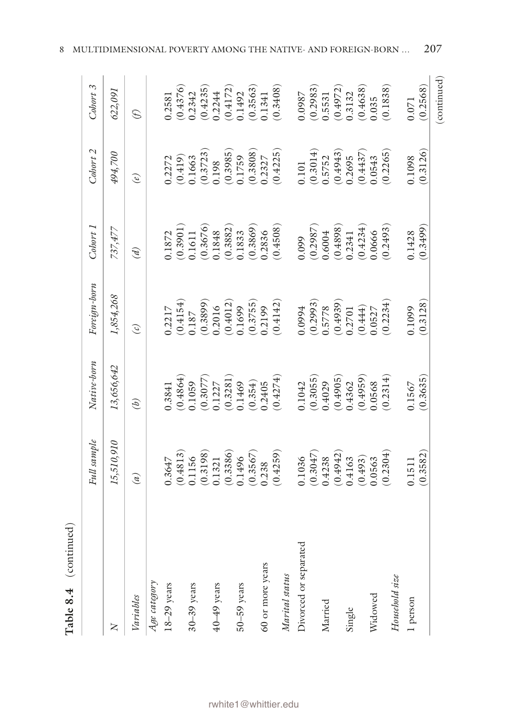| Table 8.4 (continued)   |                                                                         |                                                             |                                                                                               |                                                                                  |                                                                                   |                                                             |
|-------------------------|-------------------------------------------------------------------------|-------------------------------------------------------------|-----------------------------------------------------------------------------------------------|----------------------------------------------------------------------------------|-----------------------------------------------------------------------------------|-------------------------------------------------------------|
|                         | Full sample                                                             | Native-born                                                 | Foreign-born                                                                                  | $Cobort$ $I$                                                                     | Cohort <sub>2</sub>                                                               | Cohort 3                                                    |
| $\overline{\mathsf{X}}$ | 15,510,910                                                              | 13,656,642                                                  | 1,854,268                                                                                     | 737,477                                                                          | 494,700                                                                           | 622,091                                                     |
| Variables               | (a)                                                                     | $\overline{\mathcal{E}}$                                    | $\odot$                                                                                       | $\mathscr{D}$                                                                    | $\overline{e}$                                                                    | $\mathcal{E}$                                               |
| Age category            |                                                                         |                                                             |                                                                                               |                                                                                  |                                                                                   |                                                             |
| $18-29$ years           | 0.3647                                                                  | 0.3841                                                      | 0.2217                                                                                        | 0.1872                                                                           | 0.2272                                                                            | 0.2581                                                      |
|                         | $(0.4813)$<br>0.1156                                                    | $(0.4864)$<br>0.1059                                        | $(0.4154)$<br>$0.187$                                                                         | $\left( 0.3901\right)$ $0.1611$                                                  | $(0.419)$<br>0.1663                                                               | $(0.4376)$<br>0.2342                                        |
| $30-39$ years           |                                                                         |                                                             |                                                                                               |                                                                                  |                                                                                   |                                                             |
|                         | (0.3198)                                                                |                                                             |                                                                                               | $\begin{array}{c} (0.3676) \\ 0.1848 \end{array}$                                | $\begin{array}{c} (0.3723) \\ 0.198 \end{array}$                                  | $(0.4235)$<br>0.2244                                        |
| $40 - 49$ years         | $0.1321$<br>(0.3386)                                                    | $\begin{array}{c} (0.3077)\ 0.1227 \end{array}$             | $(0.3899)$<br>$0.2016$                                                                        |                                                                                  |                                                                                   |                                                             |
|                         |                                                                         | (0.3281)                                                    |                                                                                               |                                                                                  |                                                                                   |                                                             |
| $50 - 59$ years         | 0.1496                                                                  | 0.1469                                                      | $(0.4012)$<br>$0.1699$                                                                        | $(0.3882)$<br>0.1833                                                             |                                                                                   | $(0.4172)$<br>0.1492                                        |
|                         | (0.3567)                                                                |                                                             |                                                                                               |                                                                                  |                                                                                   |                                                             |
| 60 or more years        | 0.238                                                                   | $(0.354)$<br>0.2405                                         | $(0.3755)$<br>$0.2199$                                                                        | $\begin{array}{c} (0.3869) \\ 0.2836 \\ 0.4508) \end{array}$                     | $(0.3985)$<br>0.1759<br>(0.3808)<br>0.2327                                        | $\left( 0.3563\right)$ $0.1341$                             |
|                         | (0.4259)                                                                | (0.4274)                                                    | (0.4142)                                                                                      |                                                                                  | (0.4225)                                                                          | (0.3408)                                                    |
| Marital status          |                                                                         |                                                             |                                                                                               |                                                                                  |                                                                                   |                                                             |
| Divorced or separated   |                                                                         |                                                             |                                                                                               |                                                                                  |                                                                                   |                                                             |
|                         | $\begin{array}{c} 0.1036 \\ (0.3047) \\ 0.4238 \\ (0.4942) \end{array}$ | $\begin{array}{c} 0.1042 \\ (0.3055) \\ 0.4029 \end{array}$ | $\begin{array}{c} 0.0994 \\ (0.2993) \\ 0.5778 \\ (0.4939) \\ (0.4939) \\ 0.2701 \end{array}$ |                                                                                  |                                                                                   | $\begin{array}{c} 0.0987 \\ (0.2983) \\ 0.5531 \end{array}$ |
| Married                 |                                                                         |                                                             |                                                                                               |                                                                                  |                                                                                   |                                                             |
|                         |                                                                         | (0.4905)                                                    |                                                                                               |                                                                                  |                                                                                   | $\begin{array}{c} (0.4972) \\ 0.3132 \end{array}$           |
| Single                  | 0.4163                                                                  | 0.4362                                                      |                                                                                               | $\begin{array}{c} 0.099 \\ (0.2987) \\ 0.6004 \\ (0.4898) \\ 0.2341 \end{array}$ | $\begin{array}{c} 0.101\ (0.3014)\ 0.5752\ 0.4943)\ (0.4943)\ 0.2695 \end{array}$ |                                                             |
|                         | $(0.493)$<br>0.0563                                                     | $(0.4959)$<br>$0.0568$                                      | $(0.444)$<br>0.0527                                                                           | $(0.4234)$<br>$0.0666$                                                           | $(0.4437)$<br>$0.0543$                                                            | $(0.4638)$<br>$0.035$                                       |
| Widowed                 |                                                                         |                                                             |                                                                                               |                                                                                  |                                                                                   |                                                             |
|                         | (0.2304)                                                                | (0.2314)                                                    | (0.2234)                                                                                      | (0.2493)                                                                         | (0.2265)                                                                          | (0.1838)                                                    |
| Household size          |                                                                         |                                                             |                                                                                               |                                                                                  |                                                                                   |                                                             |
| 1 person                | 0.1511                                                                  | 0.1567                                                      | 0.1099                                                                                        | 1.1428                                                                           | 0.1098                                                                            | 0.071                                                       |
|                         | (0.3582)                                                                | (0.3635)                                                    | (0.3128)                                                                                      | (0.3499)                                                                         | (0.3126)                                                                          | (0.2568)                                                    |
|                         |                                                                         |                                                             |                                                                                               |                                                                                  |                                                                                   | (continued)                                                 |

Table 8.4 (continued)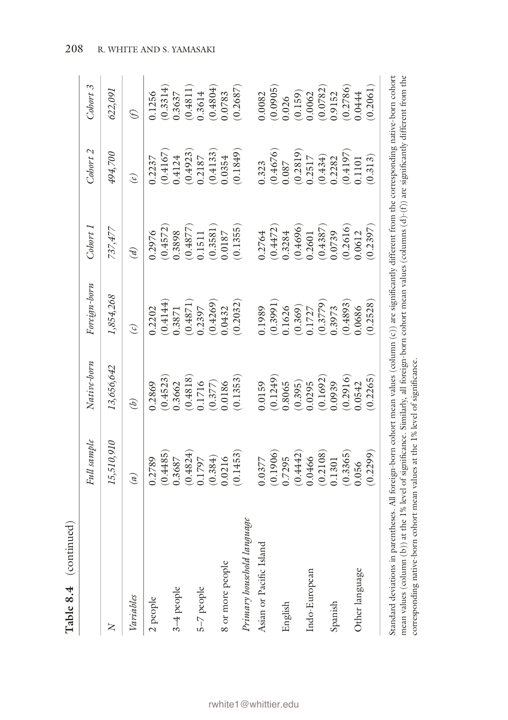|                                                                                                                                                            | Full sample        | Native-born              | Foreign-born                    | Cobort 1                         | Cobort 2           | Cohort 3                          |
|------------------------------------------------------------------------------------------------------------------------------------------------------------|--------------------|--------------------------|---------------------------------|----------------------------------|--------------------|-----------------------------------|
| $\overline{\mathsf{X}}$                                                                                                                                    | 15,510,910         | 13,656,642               | 1,854,268                       | 737,477                          | 494,700            | 622,091                           |
| Variables                                                                                                                                                  | (a)                | $\overline{\mathcal{E}}$ | $\mathcal{C}$                   | $\mathscr{C}$                    | $\mathcal{C}$      | $\mathcal{L}$                     |
| 2 people                                                                                                                                                   | 0.4485<br>1.2789   | (0.4523)<br>0.2869       | (0.4144)<br>0.2202              | 0.2976                           | (0.4167)<br>0.2237 | (0.3314)<br>0.1256                |
| $3-4$ people                                                                                                                                               | 0.4824<br>1.3687   | 0.4818<br>1.3662         | (0.4871)<br>0.3871              | $(0.4572)$<br>0.3898<br>(0.4877) | 0.4923<br>1.4124   | (0.4811)<br>1.3637                |
| 5-7 people                                                                                                                                                 | (0.384)<br>0.1797  | 0.1716<br>(0.377)        | 0.4269<br>0.2397                | $0.3581$ )<br>0.1511             | 0.4133<br>0.2187   | (0.4804)<br>1.3614                |
| 8 or more people                                                                                                                                           | 0.0216             | 0.0186                   | 0.0432                          | 0.0187                           | 0.0354             | 1.0783                            |
| Primary bousebold language                                                                                                                                 | 0.1453             | 0.1353                   | 0.2032                          | 0.1355                           | 0.1849             | 0.2687                            |
| Asian or Pacific Island                                                                                                                                    | 0.1906<br>0.0377   | (0.1249)<br>0.0159       | (0.3991)<br>0.1989              | (0.4472)<br>1.2764               | (0.4676)<br>0.323  | 0.0905<br>1.0082                  |
| English                                                                                                                                                    | (0.4442)<br>1.7295 | 1.8065<br>(0.395)        | 1.1626                          | 0.4696)<br>1.3284                | (0.2819)<br>0.087  | (0.159)<br>.026                   |
| Indo-European                                                                                                                                              | 0.2108)<br>0.0466  | (0.1692)<br>0.0295       | (0.3779)<br>$(0.369)$<br>0.1727 | 0.4387<br>0.2601                 | (0.434)<br>0.2517  | 1.0062                            |
| Spanish                                                                                                                                                    | 0.3365)<br>1,1301  | (0.2916)<br>0.0939       | (6.4893)<br>1.3973              | 0.2616<br>0.0739                 | (0.4197)<br>0.2282 | 0.2786)<br>$(0.0782)$<br>$0.9152$ |
| Other language                                                                                                                                             | $0.2299$ )<br>056. | 0.2265<br>0.542          | 0.2528<br>0.0686                | 0.2397<br>0.0612                 | (0.313)<br>11101   | 0.2061<br>1.0444                  |
| Standard deviations in parentheses. All foreign-born cohort mean values (column (c)) are significantly different from the corresponding native-born cohort |                    |                          |                                 |                                  |                    |                                   |

mean values (column (b)) at the 1% level of significance. Similarly, all foreign-born cohort mean values (columns (d)-(f)) are significantly different from the mean values (column (b)) at the 1% level of signifcance. Similarly, all foreign-born cohort mean values (columns (d)-(f)) are signifcantly different from the corresponding native-born cohort mean values at the 1% level of significance. corresponding native-born cohort mean values at the 1% level of signifcance.

Table 8.4 (continued)

**8.4** (continued)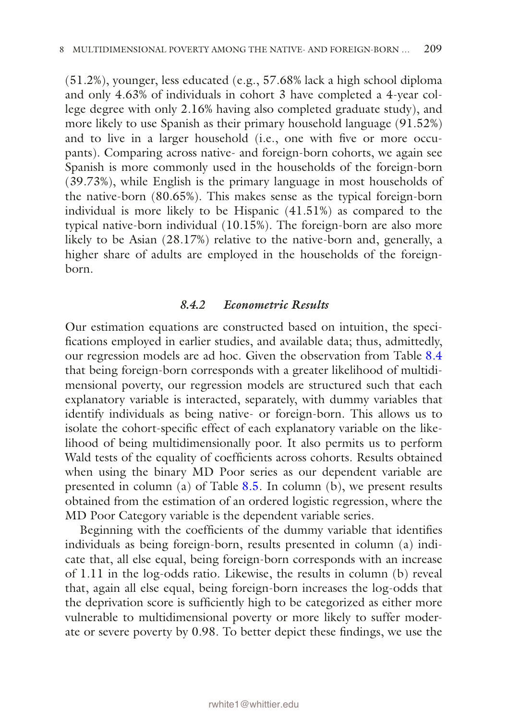(51.2%), younger, less educated (e.g., 57.68% lack a high school diploma and only 4.63% of individuals in cohort 3 have completed a 4-year college degree with only 2.16% having also completed graduate study), and more likely to use Spanish as their primary household language (91.52%) and to live in a larger household (i.e., one with fve or more occupants). Comparing across native- and foreign-born cohorts, we again see Spanish is more commonly used in the households of the foreign-born (39.73%), while English is the primary language in most households of the native-born (80.65%). This makes sense as the typical foreign-born individual is more likely to be Hispanic (41.51%) as compared to the typical native-born individual (10.15%). The foreign-born are also more likely to be Asian (28.17%) relative to the native-born and, generally, a higher share of adults are employed in the households of the foreignborn.

#### *8.4.2 Econometric Results*

Our estimation equations are constructed based on intuition, the specifcations employed in earlier studies, and available data; thus, admittedly, our regression models are ad hoc. Given the observation from Table [8.4](#page-23-0) that being foreign-born corresponds with a greater likelihood of multidimensional poverty, our regression models are structured such that each explanatory variable is interacted, separately, with dummy variables that identify individuals as being native- or foreign-born. This allows us to isolate the cohort-specifc effect of each explanatory variable on the likelihood of being multidimensionally poor. It also permits us to perform Wald tests of the equality of coeffcients across cohorts. Results obtained when using the binary MD Poor series as our dependent variable are presented in column (a) of Table [8.5](#page-28-0). In column (b), we present results obtained from the estimation of an ordered logistic regression, where the MD Poor Category variable is the dependent variable series.

Beginning with the coefficients of the dummy variable that identifies individuals as being foreign-born, results presented in column (a) indicate that, all else equal, being foreign-born corresponds with an increase of 1.11 in the log-odds ratio. Likewise, the results in column (b) reveal that, again all else equal, being foreign-born increases the log-odds that the deprivation score is suffciently high to be categorized as either more vulnerable to multidimensional poverty or more likely to suffer moderate or severe poverty by 0.98. To better depict these fndings, we use the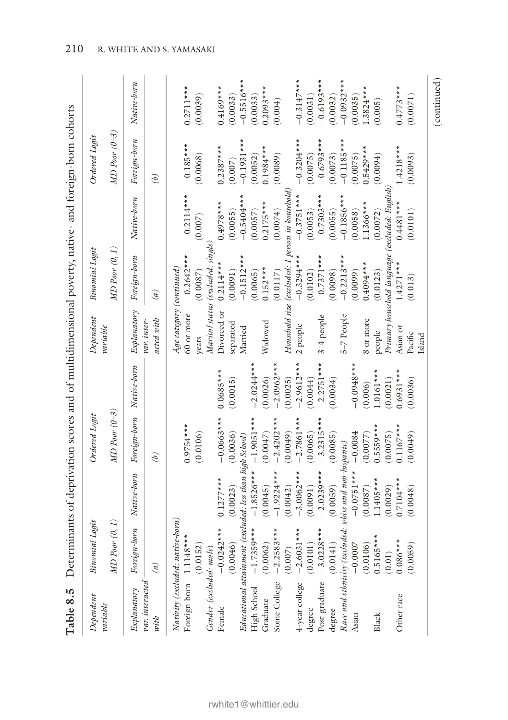<span id="page-28-0"></span>

|                         |                                                          |              |                       |               |                                        |                                   |                     | Table 8.5 Determinants of deprivation scores and of multidimensional poverty, native- and foreign-born cohorts |              |
|-------------------------|----------------------------------------------------------|--------------|-----------------------|---------------|----------------------------------------|-----------------------------------|---------------------|----------------------------------------------------------------------------------------------------------------|--------------|
| Dependent               | Binomial Logit                                           |              | Ordered Logit         |               | Dependent                              | <b>Binomial</b> Logit             |                     | Ordered Logit                                                                                                  |              |
| pariable                | $MD$ Poor $(0, 1)$                                       |              | $MD$ $Por$ $(0-3)$    |               | pariable                               | $MD$ $Por$ $(0, 1)$               |                     | $MD$ $Por$ $(0-3)$                                                                                             |              |
| Explanatory             | Foreign-born                                             | Native-born  | Foreign-born          | $Native-born$ | Explanatory                            | Foreign-born                      | Native-born         | Foreign-born                                                                                                   | Native-born  |
| var. interacted<br>with | (a)                                                      |              | $\overline{(\theta)}$ |               | acted with<br>ar. inter-               | (a)                               |                     | $\widehat{b}$                                                                                                  |              |
| Foreign-born 1.1148***  | Nativity (excluded: native-born)                         |              | $0.9754***$           |               | Age category (continued)<br>60 or more | $-0.2642***$                      | $-0.2114***$        | $-0.185***$                                                                                                    | $0.2711***$  |
|                         | (0.0152)                                                 |              | (0.0106)              |               | years                                  | (0.0087)                          | (0.007)             | (0.0068)                                                                                                       | (0.0039)     |
| Gender (excluded: male) |                                                          |              |                       |               |                                        | Marital status (excluded: single) |                     |                                                                                                                |              |
| Female                  | $-0.0242***$                                             | $0.1277***$  | $-0.0663***$          | $0.0685***$   | Divorced or                            | $0.2114***$                       | $0.4978***$         | $0.2387***$                                                                                                    | $0.4169***$  |
|                         | (0.0046)                                                 | (0.0023)     | (0.0036)              | (0.0015)      | separated                              | (1600.0)                          | (0.0055)            | (0.007)                                                                                                        | (0.0033)     |
|                         | Educational attainment (excluded: less than high School) |              |                       |               | Married                                | $-0.1512*$                        | $-0.5404***$        | $-0.1931***$                                                                                                   | $-0.5516***$ |
| High School             | $-1.7359***$                                             | $-1.8526***$ | $-1.9051***$          | $-2.0244***$  |                                        | (0.0065)                          | (0.0057)            | (0.0052)                                                                                                       | (0.0033)     |
| Graduate                | (0.0062)                                                 | (0.0045)     | (0.0047)              | (0.0026)      | Widowed                                | $0.152***$                        | $0.2175***$         | $0.1984***$                                                                                                    | $0.2093***$  |
| Some College            | $-2.2583***$                                             | $-1.9224***$ | $-2.4202***$          | $-2.0962***$  |                                        | (0.0117)                          | (0.0074)            | (0.0089)                                                                                                       | (0.004)      |
|                         | (0.007)                                                  | (0.0042)     | (0.0049)              | (0.0025)      | Household size (excluded: 1            |                                   | person in household |                                                                                                                |              |
| 4-year college          | $-2.6031***$                                             | $-3.0062***$ | $-2.7861***$          | $-2.9612***$  | 2 people                               | $-0.3294**$                       | $-0.3751***$        | $-0.3204***$                                                                                                   | $-0.3147***$ |
| degree                  | (0.0101)                                                 | (0.0091)     | (0.0065)              | (0.0044)      |                                        | (0.0102)                          | (0.0053)            | (0.0075)                                                                                                       | (0.0031)     |
| Post-graduate           | $-3.0228**$                                              | $-2.0239***$ | $-3.2315***$          | $-2.2751***$  | $3 - 4$ people                         | $-0.7371***$                      | $-0.7303***$        | $-0.6793***$                                                                                                   | $-0.6193***$ |
| degree                  | (0.0141)                                                 | (0.0059)     | (0.0085)              | (0.0034)      |                                        | 0.0098)                           | (0.0055)            | (0.0073)                                                                                                       | (0.0032)     |
|                         | Race and ethnicity (excluded: white and non-hispanic)    |              |                       |               | 5-7 People                             | $-0.2213***$                      | $-0.1856***$        | $-0.1185***$                                                                                                   | $-0.0932***$ |
| Asian                   | $-0.0007$                                                | $-0.0751***$ | $-0.0084$             | $-0.0948***$  |                                        | (0.0099)                          | (0.0058)            | (0.0075)                                                                                                       | (0.0035)     |
|                         | (0.0106)                                                 | (0.0087)     | (0.0077)              | (0.006)       | 8 or more                              | $0.4094***$                       | $.1366***$          | $0.5429***$                                                                                                    | $.3824***$   |
| Black                   | $0.5165***$                                              | $1.1405***$  | $0.5559***$           | $1.0161***$   | people                                 | (0.0123)                          | (0.0072)            | (0.0094)                                                                                                       | (0.005)      |
|                         | (0.01)                                                   | (0.0029)     | (0.0075)              | (0.0021)      |                                        | Primary household language        | (excluded: English  |                                                                                                                |              |
| Other race              | $0.086***$                                               | $0.7104***$  | $0.1167***$           | $0.6931***$   | Asian or                               | $1.4271***$                       | $0.4481***$         | $.4218***$                                                                                                     | $0.4773***$  |
|                         | (0.0059)                                                 | (0.0048)     | (0.0049)              | (0.0036)      | Pacific                                | (0.013)                           | (0.0101)            | (0.0093)                                                                                                       | (0.0071)     |
|                         |                                                          |              |                       |               | Island                                 |                                   |                     |                                                                                                                |              |

 $\left(\rm {continued}\right)$ 

210 R. White and S. Yamasaki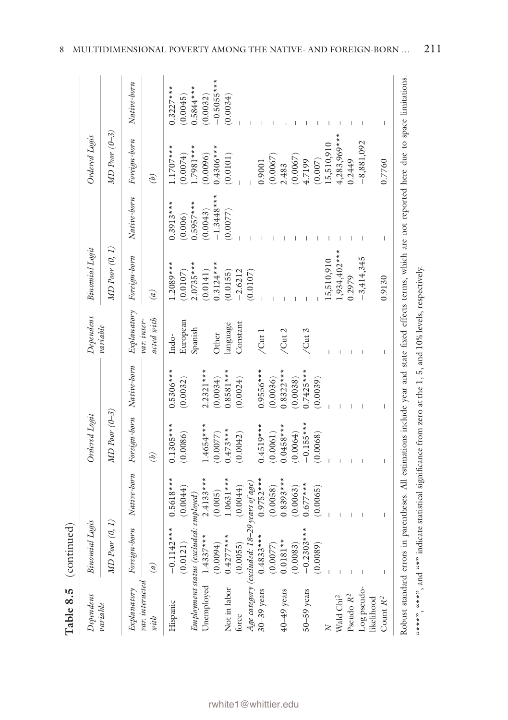|              |                | Ordered Logit                                                                                                                                             |             | Dependent                                                  |                                                            |                        | Ordered Logit                                                   |                                                                                                                                                                                                |
|--------------|----------------|-----------------------------------------------------------------------------------------------------------------------------------------------------------|-------------|------------------------------------------------------------|------------------------------------------------------------|------------------------|-----------------------------------------------------------------|------------------------------------------------------------------------------------------------------------------------------------------------------------------------------------------------|
|              |                |                                                                                                                                                           |             |                                                            |                                                            |                        | $MD$ $Por$ $(0-3)$                                              |                                                                                                                                                                                                |
| Foreign-born | Native-born    |                                                                                                                                                           |             | Explanatory                                                | Foreign-born                                               | Native-born            | Foreign-born                                                    | Native-born                                                                                                                                                                                    |
| (a)          |                | $\overline{\mathcal{E}}$                                                                                                                                  |             | acted with                                                 | (a)                                                        |                        | $\left(\frac{b}{2}\right)$                                      |                                                                                                                                                                                                |
| $-0.1142***$ | $0.5618***$    | $0.1305***$                                                                                                                                               | $0.5306***$ | Indo-                                                      | $.2089***$                                                 | $0.3913***$            | $1.1707***$                                                     | $0.3227***$<br>(0.0045)                                                                                                                                                                        |
|              |                |                                                                                                                                                           |             |                                                            |                                                            |                        |                                                                 | $0.5844***$                                                                                                                                                                                    |
| $1.4337***$  | $2.4133***$    | $1.4654***$                                                                                                                                               | $2.2321***$ |                                                            | 0.0141)                                                    | (0.0043)               |                                                                 | (0.0032)                                                                                                                                                                                       |
| (0.0094)     | (0.005)        | 0.0077                                                                                                                                                    | (0.0034)    | Other                                                      | $0.3124***$                                                | $-1.3448***$           | $0.4306***$                                                     | $-0.5055***$                                                                                                                                                                                   |
| $0.4277***$  | $1.0631***$    | $0.473***$                                                                                                                                                | $0.8581***$ | language                                                   | (0.0155)                                                   | (0.0077)               | (0.0101)                                                        | (0.0034)                                                                                                                                                                                       |
| (0.0055)     | (0.0044)       | (0.0042)                                                                                                                                                  | (0.0024)    |                                                            | $-2.6212$                                                  |                        |                                                                 |                                                                                                                                                                                                |
|              |                |                                                                                                                                                           |             |                                                            | (0.0107)                                                   |                        |                                                                 |                                                                                                                                                                                                |
| $0.4833***$  |                | $0.4519***$                                                                                                                                               | $0.9556***$ | /Cut1                                                      |                                                            |                        | 0.9001                                                          |                                                                                                                                                                                                |
| (0.0077)     | (0.0058)       | (0.0061)                                                                                                                                                  | (0.0036)    |                                                            |                                                            |                        | (0.0067)                                                        |                                                                                                                                                                                                |
| $0.0181**$   | $0.8393***$    | $0.0458***$                                                                                                                                               | $0.8322***$ | /Cut2                                                      |                                                            |                        | 2.483                                                           |                                                                                                                                                                                                |
| (0.0083)     | (0.0063)       | 0.0064)                                                                                                                                                   | (0.0038)    |                                                            |                                                            |                        | (0.0067)                                                        |                                                                                                                                                                                                |
| $-0.2303***$ | $0.677***$     | $-0.155***$                                                                                                                                               | $0.7425***$ | $/$ Cut $3$                                                |                                                            |                        | 4.7199                                                          |                                                                                                                                                                                                |
| (0.0089)     | (0.0065)       | (0.0068)                                                                                                                                                  | (0.0039)    |                                                            |                                                            |                        | (0.007)                                                         |                                                                                                                                                                                                |
|              |                |                                                                                                                                                           |             |                                                            | 15,510,910                                                 |                        | 5,510,910                                                       |                                                                                                                                                                                                |
|              |                |                                                                                                                                                           |             |                                                            | $1,934,402***$                                             |                        | $4,283,969***$                                                  |                                                                                                                                                                                                |
|              |                |                                                                                                                                                           |             |                                                            | 0.2979                                                     |                        | 0.2449                                                          |                                                                                                                                                                                                |
|              |                |                                                                                                                                                           |             |                                                            | $-3,414,345$                                               |                        | $-8,881,092$                                                    |                                                                                                                                                                                                |
|              |                |                                                                                                                                                           |             |                                                            |                                                            |                        |                                                                 |                                                                                                                                                                                                |
| I.           | $\overline{1}$ | I                                                                                                                                                         |             |                                                            | 0.9130                                                     |                        | 0.7760                                                          | L                                                                                                                                                                                              |
|              |                |                                                                                                                                                           |             |                                                            |                                                            |                        |                                                                 |                                                                                                                                                                                                |
|              | (0.0121)       | $0.9752***$<br>Age category (excluded: 18–29 years of age)<br>(0.0044)<br>Employment status (escluded: employed)<br>$MD$ $Por$ $(0, 1)$<br>Binomial Logit | (0.0086)    | Foreign-born Native-born<br>(0.0032)<br>$MD$ $Por$ $(0-3)$ | var. inter-<br>European<br>Constant<br>pariable<br>Spanish | $2.0735***$<br>0.0107) | $0.5957***$<br>(0.006)<br>Binomial Logit<br>$MD$ $Por$ $(0, 1)$ | Robust standard crrors in parentheses. All estimations include year and state fixed effects terms, which are not reported here due to space limitations.<br>$1.7981***$<br>0.0074)<br>(0.0096) |

 $***$ ,  $***$ ,  $***$ , and  $***$  indicate statistical significance from zero at the 1, 5, and 10% levels, respectively.

"\*\*\*\*", and "\*" indicate statistical significance from zero at the 1, 5, and 10% levels, respectively.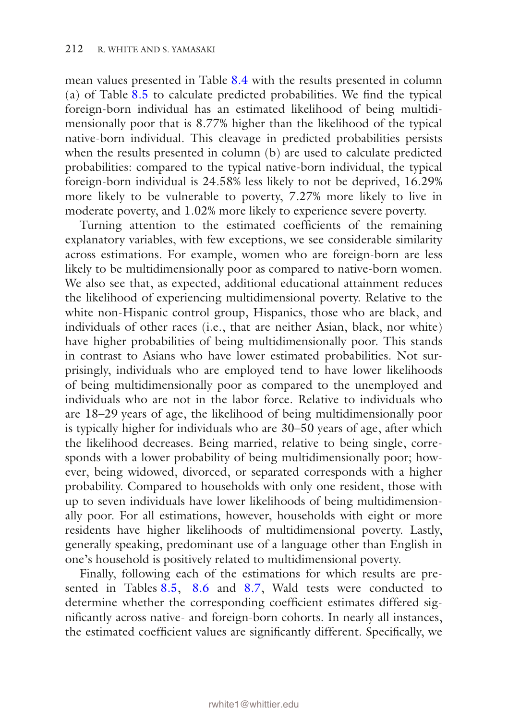mean values presented in Table [8.4](#page-23-0) with the results presented in column (a) of Table [8.5](#page-28-0) to calculate predicted probabilities. We fnd the typical foreign-born individual has an estimated likelihood of being multidimensionally poor that is 8.77% higher than the likelihood of the typical native-born individual. This cleavage in predicted probabilities persists when the results presented in column (b) are used to calculate predicted probabilities: compared to the typical native-born individual, the typical foreign-born individual is 24.58% less likely to not be deprived, 16.29% more likely to be vulnerable to poverty, 7.27% more likely to live in moderate poverty, and 1.02% more likely to experience severe poverty.

Turning attention to the estimated coefficients of the remaining explanatory variables, with few exceptions, we see considerable similarity across estimations. For example, women who are foreign-born are less likely to be multidimensionally poor as compared to native-born women. We also see that, as expected, additional educational attainment reduces the likelihood of experiencing multidimensional poverty. Relative to the white non-Hispanic control group, Hispanics, those who are black, and individuals of other races (i.e., that are neither Asian, black, nor white) have higher probabilities of being multidimensionally poor. This stands in contrast to Asians who have lower estimated probabilities. Not surprisingly, individuals who are employed tend to have lower likelihoods of being multidimensionally poor as compared to the unemployed and individuals who are not in the labor force. Relative to individuals who are 18–29 years of age, the likelihood of being multidimensionally poor is typically higher for individuals who are 30–50 years of age, after which the likelihood decreases. Being married, relative to being single, corresponds with a lower probability of being multidimensionally poor; however, being widowed, divorced, or separated corresponds with a higher probability. Compared to households with only one resident, those with up to seven individuals have lower likelihoods of being multidimensionally poor. For all estimations, however, households with eight or more residents have higher likelihoods of multidimensional poverty. Lastly, generally speaking, predominant use of a language other than English in one's household is positively related to multidimensional poverty.

Finally, following each of the estimations for which results are presented in Tables [8.5,](#page-28-0) [8.6](#page-31-0) and [8.7,](#page-33-0) Wald tests were conducted to determine whether the corresponding coefficient estimates differed signifcantly across native- and foreign-born cohorts. In nearly all instances, the estimated coefficient values are significantly different. Specifically, we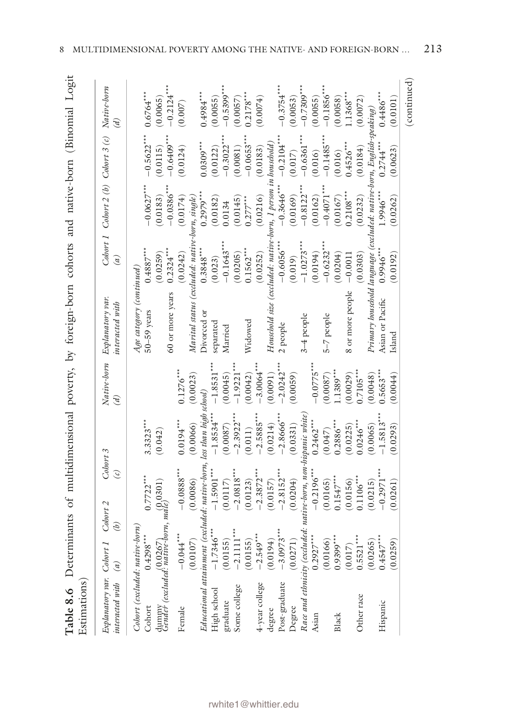<span id="page-31-0"></span>

| de 8.6 | ļ      | $\frac{1}{2}$ | $\sim$<br>í | $\overline{a}$ | くく<br>$-$<br>j | $\frac{1}{2}$ | 一、 Katharing Senior Computer Computer | <br>ļ | Ì<br>I<br>ţ<br>l |
|--------|--------|---------------|-------------|----------------|----------------|---------------|---------------------------------------|-------|------------------|
| i<br>ļ | ï<br>١ |               |             |                |                |               |                                       |       |                  |

| Estimations                                       |                               |                           |                            |                                  |                              | Table 8.6 Determinants of multidimensional poverty, by foreign-born cohorts and native-born (Binomial Logit |                 |               |                                       |               |
|---------------------------------------------------|-------------------------------|---------------------------|----------------------------|----------------------------------|------------------------------|-------------------------------------------------------------------------------------------------------------|-----------------|---------------|---------------------------------------|---------------|
| Explanatory var.<br>interacted with               | Cohort 1<br>$\left( a\right)$ | Cobort 2<br>$\mathcal{L}$ | Cobort 3<br>$\overline{c}$ |                                  | Native-born<br>$\mathscr{D}$ | Explanatory var.<br>interacted with                                                                         | Cohort 1<br>(a) |               | Cohort 2 (b) Cohort 3 (c) Native-born | Î)            |
| Cobort (excluded: native-born,                    |                               |                           |                            |                                  |                              | Age category (continued)                                                                                    |                 |               |                                       |               |
| Cohort                                            | $0.4298**$                    | $0.7722***$               |                            | $3.3323***$                      |                              | $50 - 59$ years                                                                                             | $0.4887***$     | $-0.0627***$  | $-0.5622***$                          | $0.6764***$   |
| dummy<br>Gender (excluded: native-born, male)<br> |                               |                           |                            | (0.042)                          |                              |                                                                                                             | (0.0259)        | (0.0183)      | (0.0115)                              | (0.0065)      |
|                                                   |                               |                           |                            |                                  |                              | 60 or more years                                                                                            | $0.2324***$     | $-0.0386***$  | $-0.6409***$                          | $-0.2124***$  |
| Female                                            | $-0.044$ ***                  |                           | $-0.0888***$               | $0.0194***$                      | $0.1276***$                  |                                                                                                             | (0.0242)        | (0.0174)      | (0.0124)                              | (0.007)       |
|                                                   | (0.0107)                      | (0.0086)                  |                            | (0.0066)                         | (0.0023)                     | Marital status (excluded: native-born, single)                                                              |                 |               |                                       |               |
| Educational attainment (excluded: native-born,    |                               |                           |                            | less than high school)           |                              | Divorced or                                                                                                 | $0.3848***$     | $0.2979***$   | $0.0309***$                           | $0.4984***$   |
| High school                                       | $-1.7346$ ***                 |                           | $-1.5901$ ***              | $-1.8534***$                     | $-1.8531***$                 | separated                                                                                                   | (0.023)         | (0.0182)      | (0.0122)                              | (0.0055)      |
| graduate                                          | (0.0155)                      | (0.0117)                  |                            | (0.0087)                         | (0.0045)                     | Married                                                                                                     | $-0.1643***$    | 0.0134        | $-0.3022***$                          | $-0.5399***$  |
| Some college                                      | $-2.1111***$                  |                           | $-2.0818***$               | $-2.3922***$                     | $-1.9221***$                 |                                                                                                             | (0.0205)        | (0.0145)      | 0.0081)                               | (0.0057)      |
|                                                   | (0.0155)                      | (0.0123)                  |                            | (0.011)                          | (0.0042)                     | Widowed                                                                                                     | $0.1562***$     | $0.277***$    | $-0.0653***$                          | $0.2178***$   |
| 4-year college                                    | $-2.549***$                   |                           | $-2.3872***$               | $-2.5885***$                     | $-3.0064$ **                 |                                                                                                             | (0.0252)        | (0.0216)      | (0.0183)                              | (0.0074)      |
| degree                                            | (0.0194)                      | (0.0157)                  |                            | (0.0214)                         | (0.0091)                     | Household size (excluded: native-born, I person in household)                                               |                 |               |                                       |               |
| Post-graduate                                     | $-3.0973***$                  |                           | $-2.8152***$               | $-2.8666$ ***                    | $-2.0242***$                 | 2 people                                                                                                    | $-0.6056$ ***   | $-0.3646$ *** | $-0.2104***$                          | $-0.3754$ *** |
| Degree                                            | (0.0271)                      | (0.0204)                  |                            | (0.0331)                         | (0.0059)                     |                                                                                                             | (0.019)         | (0.0169)      | (0.017)                               | (0.0053)      |
| Race and ethnicity (excluded:                     |                               |                           |                            | native-born, non-hispanic white, |                              | $3-4$ people                                                                                                | $-1.0273***$    | $-0.8122***$  | $-0.6361***$                          | $-0.7309***$  |
| Asian                                             | $0.2927***$                   | $-0.2196'$                |                            | $0.2462***$                      | $-0.0775**$                  |                                                                                                             | (610.0)         | (0.0162)      | (0.016)                               | (0.0055)      |
|                                                   | (0.0166)                      | (0.0165)                  |                            | (0.047)                          | (0.0087)                     | 5-7 people                                                                                                  | $-0.6232***$    | $-0.4071***$  | $-0.1485***$                          | $-0.1856***$  |
| Black                                             | $0.9399***$                   | $0.1547***$               |                            | $0.2886***$                      | $.1389***$                   |                                                                                                             | (0.0204)        | (0.0167)      | (0.016)                               | (0.0058)      |
|                                                   | (0.017)                       | 0.0156)                   |                            | (0.0225)                         | 0.0029)                      | 8 or more people                                                                                            | $-0.0011$       | $0.2108***$   | $0.4526***$                           | $1.1368***$   |
| Other race                                        | $0.5521***$                   | $0.1106***$               |                            | $0.0246***$                      | $0.7105***$                  |                                                                                                             | (0.0303)        | (0.0232)      | (0.0184)                              | (0.0072)      |
|                                                   | 0.0265                        | (0.0215)                  |                            | (0.0065)                         | 0.0048)                      | Primary household language (excluded: native-born, English-speaking)                                        |                 |               |                                       |               |
| Hispanic                                          | $0.4547***$                   |                           | $-0.2971***$               | $-1.5813***$                     | $0.5653***$                  | Asian or Pacific                                                                                            | $0.9946***$     | 1.9946***     | $0.2744***$                           | $0.4486***$   |
|                                                   | (0.0259)                      | (0.0261)                  |                            | (0.0293)                         | (0.0044)                     | Island                                                                                                      | (0.0192)        | (0.0262)      | (0.0623)                              | (0.0101)      |
|                                                   |                               |                           |                            |                                  |                              |                                                                                                             |                 |               |                                       | (continued)   |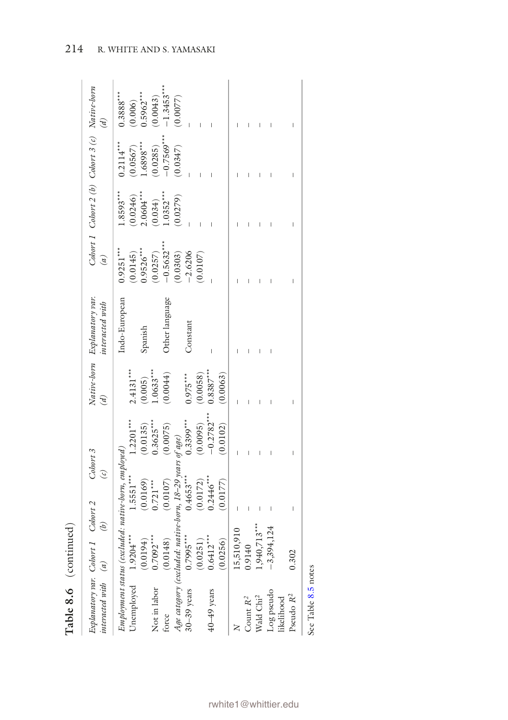| O11111e       |  |
|---------------|--|
| ိ<br>Table 8. |  |

| Explanatory var. Cohort 1 Cohort 2<br>interacted with             | (a)            | $\overline{\mathcal{E}}$   | Cobort 3<br>$\mathcal{L}$ | $\binom{d}{k}$ | Native-born Explanatory var.<br>interacted with | (a)                    | Cohort 1 Cohort 2 (b) Cohort 3 (c) Native-born |                        | (p)                    |
|-------------------------------------------------------------------|----------------|----------------------------|---------------------------|----------------|-------------------------------------------------|------------------------|------------------------------------------------|------------------------|------------------------|
| Employment status (excluded: native-born, employed)<br>Unemployed | $1.9204***$    | 1.5551***                  | $1.2201***$               | $2.4131***$    | Indo-European                                   | $0.9251***$<br>0.0145) | $1.8593***$<br>0.0246)                         | $0.2114***$<br>0.0567) | $0.3888***$<br>(0.006) |
|                                                                   | (610.0194)     | $(0.0169)$<br>$0.721***$   | $(0.0135)$<br>$0.3625***$ | 0.005)         | Spanish                                         | $0.9526***$            | $2.0604***$                                    | 6898                   | $0.5962***$            |
| Not in labor                                                      | $0.7092***$    |                            |                           | $0633***$      |                                                 | (0.0257)               | (0.034)                                        | (0.0285)               | (0.0043)               |
| force                                                             | (0.0148)       | (0.0107)                   | (0.0075)                  | 0.0044)        | Other language                                  | $-0.5632***$           | $0.352***$                                     | $-0.7569***$           | $-1.3453***$           |
| Age category (excluded: native-born, 18–29 years of age)          |                |                            |                           |                |                                                 | (0.0303)               | (0.0279)                                       | (0.0347)               | (0.0077)               |
| $30 - 39$ years                                                   | $0.7995***$    | $0.4653***$                | $0.3399***$               | $0.975***$     | Constant                                        | $-2.6206$              |                                                |                        |                        |
|                                                                   | (0.0251)       | $(0.0172)$<br>$0.2446$ *** | (0.0095)                  | (0.0058)       |                                                 | (0.0107)               |                                                |                        |                        |
| $40 - 49$ years                                                   | $0.6412***$    |                            | $-0.2782***$              | $0.8387***$    |                                                 |                        |                                                |                        |                        |
|                                                                   | 0.0256)        | (0.0177)                   | (0.0102)                  | (0.0063)       |                                                 |                        |                                                |                        |                        |
|                                                                   | 15,510,910     |                            |                           |                |                                                 |                        |                                                |                        |                        |
| Count $\mathbb{R}^2$                                              | 0.9140         |                            |                           |                |                                                 |                        |                                                |                        |                        |
| Wald Chi <sup>2</sup>                                             | $1,940,713***$ |                            |                           |                |                                                 |                        |                                                |                        |                        |
| Log pseudo                                                        | $-3,394,124$   |                            |                           |                |                                                 |                        |                                                |                        |                        |
| likelihood                                                        |                |                            |                           |                |                                                 |                        |                                                |                        |                        |
| Pseudo R <sup>2</sup>                                             | 0.302          |                            |                           |                |                                                 |                        |                                                |                        |                        |
|                                                                   |                |                            |                           |                |                                                 |                        |                                                |                        |                        |

See Table 8.5 notes See Table [8.5](#page-28-0) notes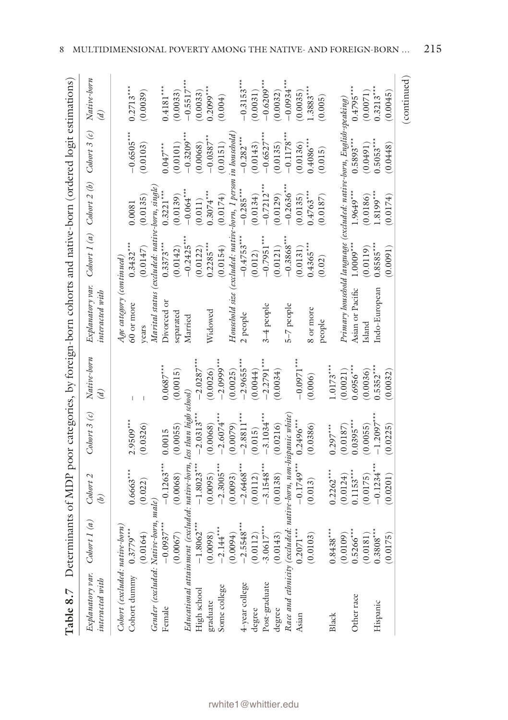<span id="page-33-0"></span>

| Table 8.7                                                                                                                      |               |                               |                        |                                | Determinants of MDP poor categories, by foreign-born cohorts and native-born (ordered logit estimations) |              |                             |                           |                              |
|--------------------------------------------------------------------------------------------------------------------------------|---------------|-------------------------------|------------------------|--------------------------------|----------------------------------------------------------------------------------------------------------|--------------|-----------------------------|---------------------------|------------------------------|
| Explanatory var.<br>interacted with                                                                                            | Cobort $1(a)$ | Cobort 2<br>$\left( b\right)$ | Cohort $3(c)$          | $Native-born$<br>$\mathcal{L}$ | Explanatory var.<br>interacted with                                                                      |              | Cohort $1(a)$ Cohort $2(b)$ | Cohort 3 $(\epsilon)$     | Native-born<br>$\mathscr{D}$ |
| Cohort (excluded: native-born)                                                                                                 |               |                               |                        |                                | Age category (continued)                                                                                 |              |                             |                           |                              |
| Cohort dunnny                                                                                                                  | $0.3779***$   | $0.6663***$                   | $2.9509***$            |                                | 60 or more                                                                                               | $0.3432***$  | 0.0081                      | $-0.6505***$              | $0.2713***$                  |
| $\begin{array}{ll} (0.0164) \qquad \qquad (0.022) \\ \text{Gender (excluded: Native-born, male)} \\ \text{Female} \end{array}$ |               |                               | (0.0326)               |                                | years                                                                                                    | (0.0147)     | (0.0135)                    | (0.0103)                  | (0.0039)                     |
|                                                                                                                                |               |                               |                        |                                | Marital status (excluded: native-born, single)                                                           |              |                             |                           |                              |
|                                                                                                                                |               | $-0.1263***$                  | 0.0015                 | $0.0687***$                    | Divorced or                                                                                              | $0.3373***$  | $0.3221***$                 | $0.047***$                | $0.4181***$                  |
|                                                                                                                                | $(0.0067)$    | (0.0068)                      | (0.0055)               | (0.0015)                       | separated                                                                                                | (0.0142)     | (0.0139)                    | (0.0101)                  | (0.0033)                     |
| Educational attainment (excluded: native-born,                                                                                 |               |                               | less than high school) |                                | Married                                                                                                  | $-0.2425***$ | $-0.064$ ***                | $-0.3209***$              | $-0.5517***$                 |
| High school                                                                                                                    | $-1.8062***$  | $-1.8023***$                  | $-2.0313***$           | $-2.0287***$                   |                                                                                                          | (0.0122)     | $(0.011)$                   | (0.0068)                  | (0.0033)                     |
|                                                                                                                                | (0.0098)      | (0.0095)                      | (0.0068)               | (0.0026)                       | Widowed                                                                                                  | $0.2285***$  | $0.3074***$                 | $-0.0387$ **              | $0.2099***$                  |
| graduate<br>Some college                                                                                                       | $-2.144$ ***  | $-2.3005***$                  | $-2.6074***$           | $-2.0999***$                   |                                                                                                          | (0.0154)     | (0.0174)                    | (0.0151)                  | (0.004)                      |
|                                                                                                                                | (0.0094)      | (0.0093)                      | (0.0079)               | (0.0025)                       | Household size (excluded: native-born, 1 person                                                          |              |                             | in household)             |                              |
| 4-year college                                                                                                                 | $-2.5548***$  | $-2.6468***$                  | $-2.8811***$           | $-2.965$ ***                   | 2 people                                                                                                 | $-0.4753***$ | $-0.285***$                 | $-0.282***$               | $-0.3153***$                 |
| degree                                                                                                                         | (0.0112)      | (0.0112)                      | (0.015)                | (0.0044)                       |                                                                                                          | (0.012)      | (0.0134)                    | (0.0143)                  | (0.0031)                     |
| Post-graduate                                                                                                                  | $-3.0617***$  | $-3.1548***$                  | $-3.1034***$           | $-2.2791$ ***                  | 3-4 people                                                                                               | $-0.7951***$ | $-0.7212***$                | $-0.6527***$              | $-0.6209***$                 |
| degree                                                                                                                         | (0.0143)      | (0.0138)                      | (0.0216)               | (0.0034)                       |                                                                                                          | (0.0121)     | (0.0129)                    | (0.0135)                  | (0.0032)                     |
| Race and ethnicity (excluded: native-born, non-hispanic white)                                                                 |               |                               |                        |                                | 5-7 people                                                                                               | $-0.3868***$ | $-0.2636***$                | $-0.1178***$              | $-0.0934***$                 |
| Asian                                                                                                                          | $0.2071***$   | $-0.1749***$                  | $0.2496***$            | $-0.0971$ **                   |                                                                                                          | (0.0131)     | (0.0135)                    | $(0.0136)$<br>$0.4086***$ | (0.0035)                     |
|                                                                                                                                | (0.0103)      | (0.013)                       | (0.0386)               | (0.006)                        | 8 or more                                                                                                | $0.4365***$  | $0.4763***$                 |                           | $1.3883***$                  |
|                                                                                                                                |               |                               |                        |                                | people                                                                                                   | (0.02)       | (0.0187)                    | (0.015)                   | (0.005)                      |
| Black                                                                                                                          | $0.8438***$   | $0.2262***$                   | $0.297***$             | $1.0173***$                    |                                                                                                          |              |                             |                           |                              |
|                                                                                                                                | (0.0109)      | (0.0124)                      | (0.0187)               | 0.0021)                        | Primary household language (excluded: native-born, English-speaking)                                     |              |                             |                           |                              |
| Other race                                                                                                                     | $0.5266***$   | $0.1153***$                   | $0.0395***$            | $0.6956***$                    | Asian or Pacific                                                                                         | $1.0009***$  | $1.9649***$                 | $0.5893***$               | $0.4795***$                  |
|                                                                                                                                | (0.0181)      | $(0.0175)$                    | (0.0055)               | 0.0036)                        | Island                                                                                                   | $(0.0119)$   | (0.0186)                    | (0.0491)                  | (0.0071)                     |
| Hispanic                                                                                                                       | $0.3808***$   | $-0.1234***$                  | $-1.2097$ **           | $0.5352***$                    | Indo-European                                                                                            | $0.8585***$  | $1.8199***$                 | $0.5053***$               | $0.3213***$                  |
|                                                                                                                                | (0.0175)      | (0.0201)                      | (0.0225)               | (0.0032)                       |                                                                                                          | (0.0091)     | (0.0174)                    | (0.0448)                  | (0.0045)                     |
|                                                                                                                                |               |                               |                        |                                |                                                                                                          |              |                             |                           | (continued)                  |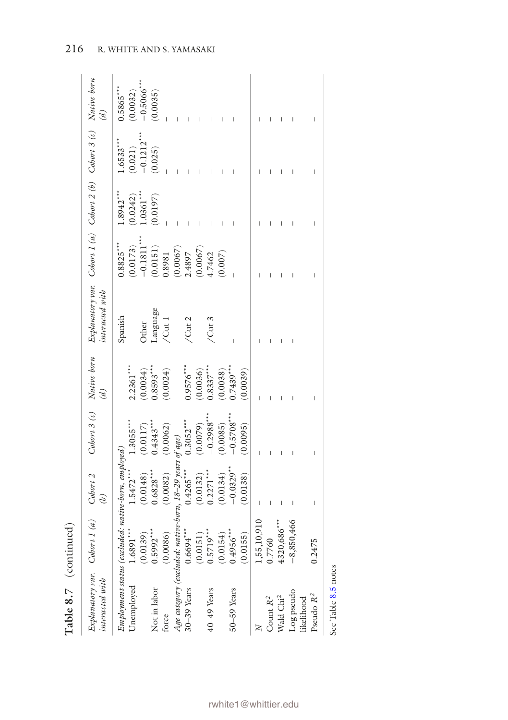|           | $\overline{\phantom{a}}$        |
|-----------|---------------------------------|
|           | Cohort $3(c)$                   |
|           | Abort 2                         |
| ontinue   |                                 |
| Table 8.7 | $x$ planatory var. Cobort 1 (a. |

| Explanatory var. Cohort 1 (a) Cohort 2<br>interacted with         |                         | $\mathcal{L}(\theta)$   |                           | Cobort 3 (c) Native-born<br>$\overline{a}$ | Explanatory var. Cohort 1 (a) Cohort 2 (b) Cohort 3 (c) Native-born<br>interacted with |                          |                         |                         | $\mathscr{D}$             |
|-------------------------------------------------------------------|-------------------------|-------------------------|---------------------------|--------------------------------------------|----------------------------------------------------------------------------------------|--------------------------|-------------------------|-------------------------|---------------------------|
| Employment status (excluded: native-born, employed)<br>Unemployed | $1.6891***$             | $1.5472***$             | $1.3055***$               | $2.2361***$                                | Spanish                                                                                | $0.8825***$<br>0.0173)   | $1.8942***$<br>0.0242)  | $1.6533***$<br>0.021)   | $0.5865***$<br>(0.0032)   |
| Not in labor                                                      | $0.5992***$<br>(0.0139) | $0.6828***$<br>(0.0148) | $0.4343***$<br>$(0.0117)$ | $.8593***$<br>0.0034)                      | Language<br><b>Other</b>                                                               | $-0.1811***$<br>(0.0151) | $1.0361***$<br>(0.0197) | $-0.1212***$<br>(0.025) | $-0.5066$ ***<br>(0.0035) |
| force                                                             | (0.0086)                | (0.0082)                | (0.0062)                  | (0.0024)                                   | $\sqrt{C}$ ut 1                                                                        | 18981                    |                         |                         |                           |
| Age category (excluded: native-born, 18–29 years of age)          |                         |                         |                           |                                            |                                                                                        | (0.0067)                 |                         |                         |                           |
| $30-39$ Years                                                     | $0.6694***$             | $0.4265***$             | $0.3052***$               | $0.9576***$                                | $/$ Cut $2$                                                                            | 2.4897                   |                         |                         |                           |
|                                                                   | (0.0151)                | 0.0132)                 | (0.0079)                  | 0.0036)                                    |                                                                                        | 0.0067                   |                         |                         |                           |
| 40-49 Years                                                       | $0.5719***$             | $0.2271***$             | $-0.2988***$              | $0.8337***$                                | /Cut3                                                                                  | 1.7462                   |                         |                         |                           |
|                                                                   | (0.0154)                | 0.0134)                 | (0.0085)                  | (0.0038)                                   |                                                                                        | (0.007)                  |                         |                         |                           |
| $50 - 59$ Years                                                   | $0.4956***$             | $-0.0329***$            | $-0.5708***$              | $0.7439***$                                |                                                                                        |                          |                         |                         |                           |
|                                                                   | (0.0155)                | (0.0138)                | (0.0095)                  | (0.0039)                                   |                                                                                        |                          |                         |                         |                           |
| Z                                                                 | 1,55,10,910             |                         |                           |                                            |                                                                                        |                          |                         |                         |                           |
| Count $R^2$                                                       | 0.7760                  |                         |                           |                                            |                                                                                        |                          |                         |                         |                           |
| Wald Chi <sup>2</sup>                                             | 4320,686***             |                         |                           |                                            |                                                                                        |                          |                         |                         |                           |
| Log pseudo                                                        | $-8,850,466$            |                         |                           |                                            |                                                                                        |                          |                         |                         |                           |
| Pseudo $\mathbb{R}^2$<br>likelihood                               | 0.2475                  |                         |                           |                                            |                                                                                        |                          |                         |                         |                           |
|                                                                   |                         |                         |                           |                                            |                                                                                        |                          |                         |                         |                           |

See Table 8.5 notes See Table [8.5](#page-28-0) notes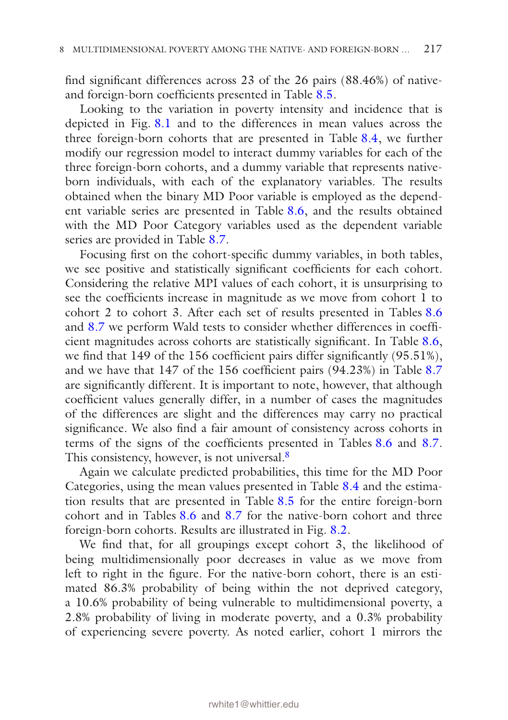fnd signifcant differences across 23 of the 26 pairs (88.46%) of native-and foreign-born coefficients presented in Table [8.5](#page-28-0).

Looking to the variation in poverty intensity and incidence that is depicted in Fig. [8.1](#page-13-0) and to the differences in mean values across the three foreign-born cohorts that are presented in Table [8.4,](#page-23-0) we further modify our regression model to interact dummy variables for each of the three foreign-born cohorts, and a dummy variable that represents nativeborn individuals, with each of the explanatory variables. The results obtained when the binary MD Poor variable is employed as the dependent variable series are presented in Table [8.6](#page-31-0), and the results obtained with the MD Poor Category variables used as the dependent variable series are provided in Table [8.7.](#page-33-0)

Focusing frst on the cohort-specifc dummy variables, in both tables, we see positive and statistically signifcant coeffcients for each cohort. Considering the relative MPI values of each cohort, it is unsurprising to see the coefficients increase in magnitude as we move from cohort 1 to cohort 2 to cohort 3. After each set of results presented in Tables [8.6](#page-31-0) and [8.7](#page-33-0) we perform Wald tests to consider whether differences in coeffcient magnitudes across cohorts are statistically signifcant. In Table [8.6,](#page-31-0) we find that 149 of the 156 coefficient pairs differ significantly (95.51%), and we have that 147 of the 156 coefficient pairs (94.23%) in Table [8.7](#page-33-0) are signifcantly different. It is important to note, however, that although coefficient values generally differ, in a number of cases the magnitudes of the differences are slight and the differences may carry no practical signifcance. We also fnd a fair amount of consistency across cohorts in terms of the signs of the coeffcients presented in Tables [8.6](#page-31-0) and [8.7.](#page-33-0) This consistency, however, is not universal.<sup>8</sup>

Again we calculate predicted probabilities, this time for the MD Poor Categories, using the mean values presented in Table [8.4](#page-23-0) and the estimation results that are presented in Table [8.5](#page-28-0) for the entire foreign-born cohort and in Tables [8.6](#page-31-0) and [8.7](#page-33-0) for the native-born cohort and three foreign-born cohorts. Results are illustrated in Fig. [8.2.](#page-36-1)

We fnd that, for all groupings except cohort 3, the likelihood of being multidimensionally poor decreases in value as we move from left to right in the fgure. For the native-born cohort, there is an estimated 86.3% probability of being within the not deprived category, a 10.6% probability of being vulnerable to multidimensional poverty, a 2.8% probability of living in moderate poverty, and a 0.3% probability of experiencing severe poverty. As noted earlier, cohort 1 mirrors the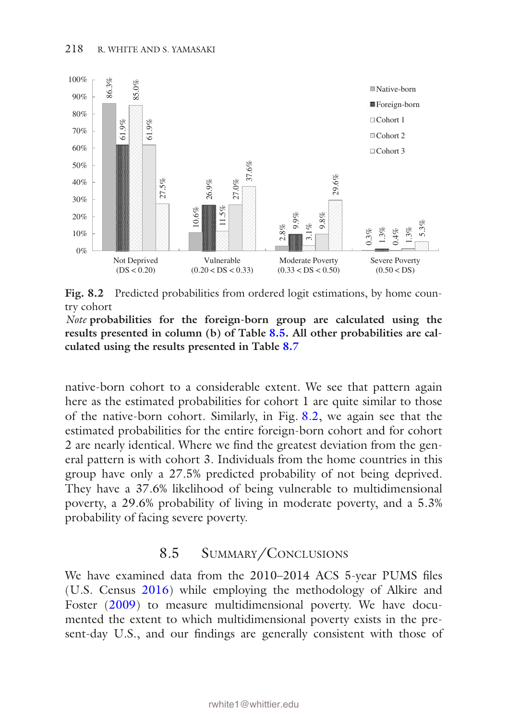

<span id="page-36-1"></span>**Fig. 8.2** Predicted probabilities from ordered logit estimations, by home country cohort

*Note* **probabilities for the foreign-born group are calculated using the results presented in column (b) of Table [8.5.](#page-28-0) All other probabilities are calculated using the results presented in Table [8.7](#page-33-0)**

native-born cohort to a considerable extent. We see that pattern again here as the estimated probabilities for cohort 1 are quite similar to those of the native-born cohort. Similarly, in Fig. [8.2](#page-36-1), we again see that the estimated probabilities for the entire foreign-born cohort and for cohort 2 are nearly identical. Where we fnd the greatest deviation from the general pattern is with cohort 3. Individuals from the home countries in this group have only a 27.5% predicted probability of not being deprived. They have a 37.6% likelihood of being vulnerable to multidimensional poverty, a 29.6% probability of living in moderate poverty, and a 5.3% probability of facing severe poverty.

# <span id="page-36-0"></span>8.5 Summary/Conclusions

We have examined data from the 2010–2014 ACS 5-year PUMS fles (U.S. Census [2016\)](#page-39-5) while employing the methodology of Alkire and Foster [\(2009](#page-39-6)) to measure multidimensional poverty. We have documented the extent to which multidimensional poverty exists in the pre-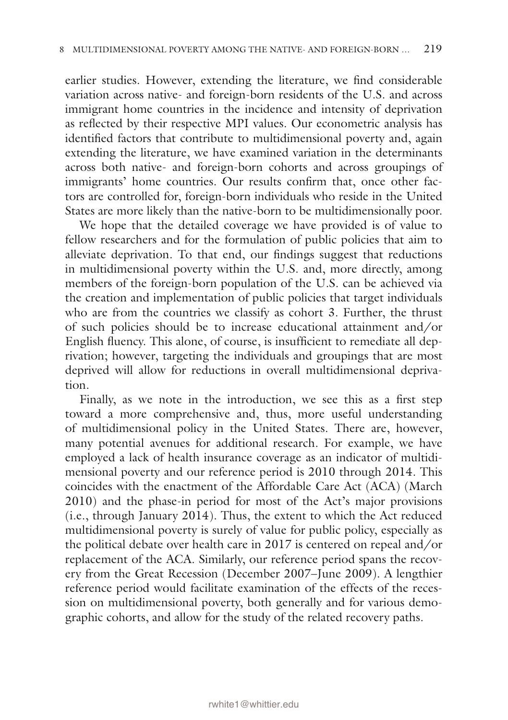earlier studies. However, extending the literature, we fnd considerable variation across native- and foreign-born residents of the U.S. and across immigrant home countries in the incidence and intensity of deprivation as refected by their respective MPI values. Our econometric analysis has identifed factors that contribute to multidimensional poverty and, again extending the literature, we have examined variation in the determinants across both native- and foreign-born cohorts and across groupings of immigrants' home countries. Our results confrm that, once other factors are controlled for, foreign-born individuals who reside in the United States are more likely than the native-born to be multidimensionally poor.

We hope that the detailed coverage we have provided is of value to fellow researchers and for the formulation of public policies that aim to alleviate deprivation. To that end, our fndings suggest that reductions in multidimensional poverty within the U.S. and, more directly, among members of the foreign-born population of the U.S. can be achieved via the creation and implementation of public policies that target individuals who are from the countries we classify as cohort 3. Further, the thrust of such policies should be to increase educational attainment and/or English fuency. This alone, of course, is insuffcient to remediate all deprivation; however, targeting the individuals and groupings that are most deprived will allow for reductions in overall multidimensional deprivation.

Finally, as we note in the introduction, we see this as a frst step toward a more comprehensive and, thus, more useful understanding of multidimensional policy in the United States. There are, however, many potential avenues for additional research. For example, we have employed a lack of health insurance coverage as an indicator of multidimensional poverty and our reference period is 2010 through 2014. This coincides with the enactment of the Affordable Care Act (ACA) (March 2010) and the phase-in period for most of the Act's major provisions (i.e., through January 2014). Thus, the extent to which the Act reduced multidimensional poverty is surely of value for public policy, especially as the political debate over health care in 2017 is centered on repeal and/or replacement of the ACA. Similarly, our reference period spans the recovery from the Great Recession (December 2007–June 2009). A lengthier reference period would facilitate examination of the effects of the recession on multidimensional poverty, both generally and for various demographic cohorts, and allow for the study of the related recovery paths.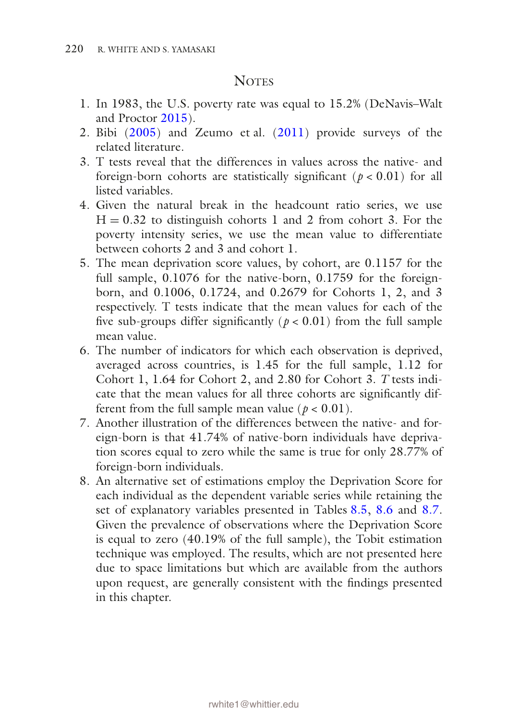### <span id="page-38-0"></span>**NOTES**

- 1. In 1983, the U.S. poverty rate was equal to 15.2% (DeNavis–Walt and Proctor [2015](#page-39-0)).
- 2. Bibi ([2005](#page-39-10)) and Zeumo et al. [\(2011\)](#page-40-2) provide surveys of the related literature.
- 3. T tests reveal that the differences in values across the native- and foreign-born cohorts are statistically signifcant (*p* < 0.01) for all listed variables.
- 4. Given the natural break in the headcount ratio series, we use  $H = 0.32$  to distinguish cohorts 1 and 2 from cohort 3. For the poverty intensity series, we use the mean value to differentiate between cohorts 2 and 3 and cohort 1.
- 5. The mean deprivation score values, by cohort, are 0.1157 for the full sample, 0.1076 for the native-born, 0.1759 for the foreignborn, and 0.1006, 0.1724, and 0.2679 for Cohorts 1, 2, and 3 respectively. T tests indicate that the mean values for each of the five sub-groups differ significantly ( $p < 0.01$ ) from the full sample mean value.
- 6. The number of indicators for which each observation is deprived, averaged across countries, is 1.45 for the full sample, 1.12 for Cohort 1, 1.64 for Cohort 2, and 2.80 for Cohort 3. *T* tests indicate that the mean values for all three cohorts are signifcantly different from the full sample mean value ( $p < 0.01$ ).
- 7. Another illustration of the differences between the native- and foreign-born is that 41.74% of native-born individuals have deprivation scores equal to zero while the same is true for only 28.77% of foreign-born individuals.
- 8. An alternative set of estimations employ the Deprivation Score for each individual as the dependent variable series while retaining the set of explanatory variables presented in Tables [8.5,](#page-28-0) [8.6](#page-33-0) and [8.7.](#page-33-0) Given the prevalence of observations where the Deprivation Score is equal to zero (40.19% of the full sample), the Tobit estimation technique was employed. The results, which are not presented here due to space limitations but which are available from the authors upon request, are generally consistent with the fndings presented in this chapter.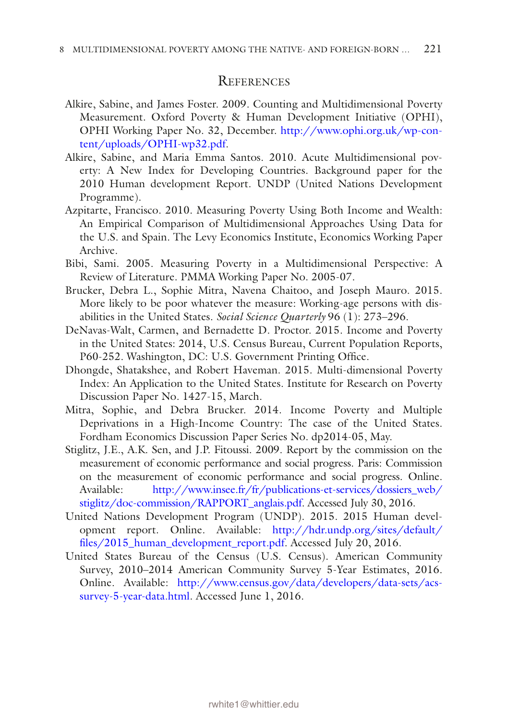#### **REFERENCES**

- <span id="page-39-6"></span>Alkire, Sabine, and James Foster. 2009. Counting and Multidimensional Poverty Measurement. Oxford Poverty & Human Development Initiative (OPHI), OPHI Working Paper No. 32, December. [http://www.ophi.org.uk/wp-con](http://www.ophi.org.uk/wp-content/uploads/OPHI-wp32.pdf)[tent/uploads/OPHI-wp32.pdf](http://www.ophi.org.uk/wp-content/uploads/OPHI-wp32.pdf).
- <span id="page-39-8"></span>Alkire, Sabine, and Maria Emma Santos. 2010. Acute Multidimensional poverty: A New Index for Developing Countries. Background paper for the 2010 Human development Report. UNDP (United Nations Development Programme).
- <span id="page-39-4"></span>Azpitarte, Francisco. 2010. Measuring Poverty Using Both Income and Wealth: An Empirical Comparison of Multidimensional Approaches Using Data for the U.S. and Spain. The Levy Economics Institute, Economics Working Paper Archive.
- <span id="page-39-10"></span>Bibi, Sami. 2005. Measuring Poverty in a Multidimensional Perspective: A Review of Literature. PMMA Working Paper No. 2005-07.
- <span id="page-39-1"></span>Brucker, Debra L., Sophie Mitra, Navena Chaitoo, and Joseph Mauro. 2015. More likely to be poor whatever the measure: Working-age persons with disabilities in the United States. *Social Science Quarterly* 96 (1): 273–296.
- <span id="page-39-0"></span>DeNavas-Walt, Carmen, and Bernadette D. Proctor. 2015. Income and Poverty in the United States: 2014, U.S. Census Bureau, Current Population Reports, P60-252. Washington, DC: U.S. Government Printing Office.
- <span id="page-39-2"></span>Dhongde, Shatakshee, and Robert Haveman. 2015. Multi-dimensional Poverty Index: An Application to the United States. Institute for Research on Poverty Discussion Paper No. 1427-15, March.
- <span id="page-39-3"></span>Mitra, Sophie, and Debra Brucker. 2014. Income Poverty and Multiple Deprivations in a High-Income Country: The case of the United States. Fordham Economics Discussion Paper Series No. dp2014-05, May.
- <span id="page-39-7"></span>Stiglitz, J.E., A.K. Sen, and J.P. Fitoussi. 2009. Report by the commission on the measurement of economic performance and social progress. Paris: Commission on the measurement of economic performance and social progress. Online. Available: [http://www.insee.fr/fr/publications-et-services/dossiers\\_web/](http://www.insee.fr/fr/publications-et-services/dossiers_web/stiglitz/doc-commission/RAPPORT_anglais.pdf) [stiglitz/doc-commission/RAPPORT\\_anglais.pdf](http://www.insee.fr/fr/publications-et-services/dossiers_web/stiglitz/doc-commission/RAPPORT_anglais.pdf). Accessed July 30, 2016.
- <span id="page-39-9"></span>United Nations Development Program (UNDP). 2015. 2015 Human development report. Online. Available: [http://hdr.undp.org/sites/default/](http://hdr.undp.org/sites/default/files/2015_human_development_report.pdf) files/2015 human\_development\_report.pdf. Accessed July 20, 2016.
- <span id="page-39-5"></span>United States Bureau of the Census (U.S. Census). American Community Survey, 2010–2014 American Community Survey 5-Year Estimates, 2016. Online. Available: [http://www.census.gov/data/developers/data-sets/acs](http://www.census.gov/data/developers/data-sets/acs-survey-5-year-data.html)[survey-5-year-data.html.](http://www.census.gov/data/developers/data-sets/acs-survey-5-year-data.html) Accessed June 1, 2016.